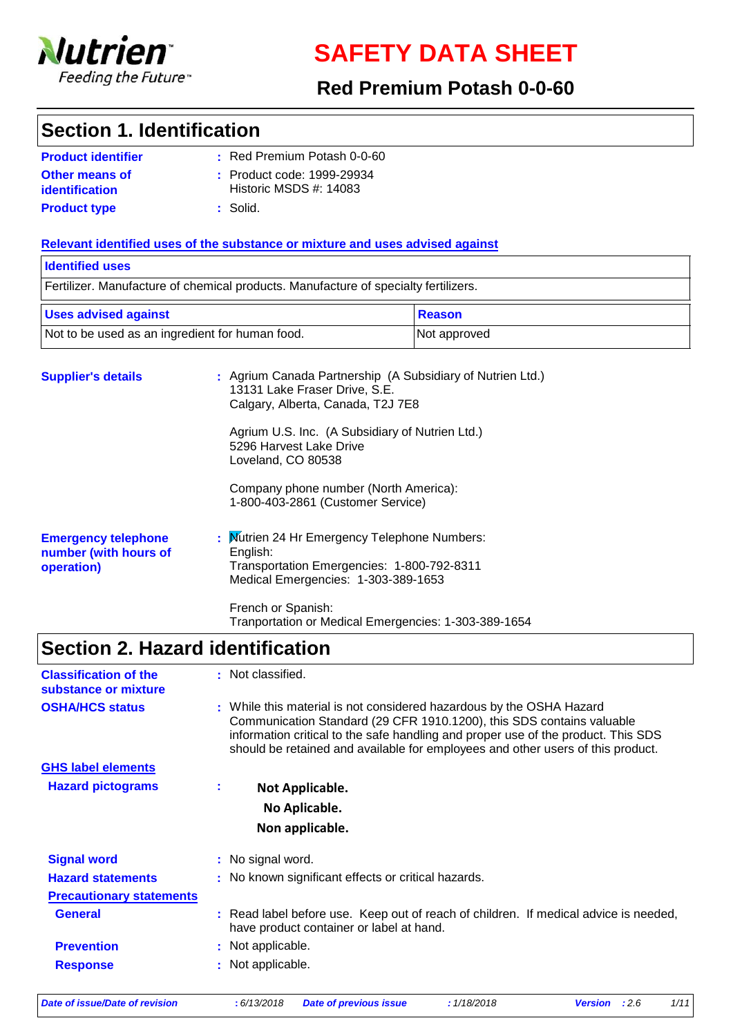

**SAFETY DATA SHEET**

### **Red Premium Potash 0-0-60**

### **Section 1. Identification**

| <b>Product identifier</b> | : Red Premium Potash 0-0-60 |
|---------------------------|-----------------------------|
| <b>Other means of</b>     | : Product code: 1999-29934  |
| identification            | Historic MSDS $#: 14083$    |
| <b>Product type</b>       | : Solid.                    |

### **Relevant identified uses of the substance or mixture and uses advised against**

## **Supplier's details :** Agrium Canada Partnership (A Subsidiary of Nutrien Ltd.) 13131 Lake Fraser Drive, S.E. Calgary, Alberta, Canada, T2J 7E8 Agrium U.S. Inc. (A Subsidiary of Nutrien Ltd.) 5296 Harvest Lake Drive Loveland, CO 80538 Company phone number (North America): 1-800-403-2861 (Customer Service) Fertilizer. Manufacture of chemical products. Manufacture of specialty fertilizers. **Identified uses** Not to be used as an ingredient for human food. Not approved Uses advised against **Reason**

| <b>Emergency telephone</b> | : Mutrien 24 Hr Emergency Telephone Numbers:                                      |
|----------------------------|-----------------------------------------------------------------------------------|
| number (with hours of      | English:                                                                          |
| operation)                 | Transportation Emergencies: 1-800-792-8311<br>Medical Emergencies: 1-303-389-1653 |
|                            |                                                                                   |

French or Spanish: Tranportation or Medical Emergencies: 1-303-389-1654

## **Section 2. Hazard identification**

| <b>Classification of the</b><br>substance or mixture |    | : Not classified.                                                                                                                                                                                                                                                                                                     |
|------------------------------------------------------|----|-----------------------------------------------------------------------------------------------------------------------------------------------------------------------------------------------------------------------------------------------------------------------------------------------------------------------|
| <b>OSHA/HCS status</b>                               |    | : While this material is not considered hazardous by the OSHA Hazard<br>Communication Standard (29 CFR 1910.1200), this SDS contains valuable<br>information critical to the safe handling and proper use of the product. This SDS<br>should be retained and available for employees and other users of this product. |
| <b>GHS label elements</b>                            |    |                                                                                                                                                                                                                                                                                                                       |
| <b>Hazard pictograms</b>                             | ÷. | Not Applicable.                                                                                                                                                                                                                                                                                                       |
|                                                      |    | No Aplicable.                                                                                                                                                                                                                                                                                                         |
|                                                      |    | Non applicable.                                                                                                                                                                                                                                                                                                       |
| <b>Signal word</b>                                   |    | : No signal word.                                                                                                                                                                                                                                                                                                     |
| <b>Hazard statements</b>                             |    | : No known significant effects or critical hazards.                                                                                                                                                                                                                                                                   |
| <b>Precautionary statements</b>                      |    |                                                                                                                                                                                                                                                                                                                       |
| <b>General</b>                                       |    | : Read label before use. Keep out of reach of children. If medical advice is needed,<br>have product container or label at hand.                                                                                                                                                                                      |
| <b>Prevention</b>                                    |    | : Not applicable.                                                                                                                                                                                                                                                                                                     |
| <b>Response</b>                                      |    | : Not applicable.                                                                                                                                                                                                                                                                                                     |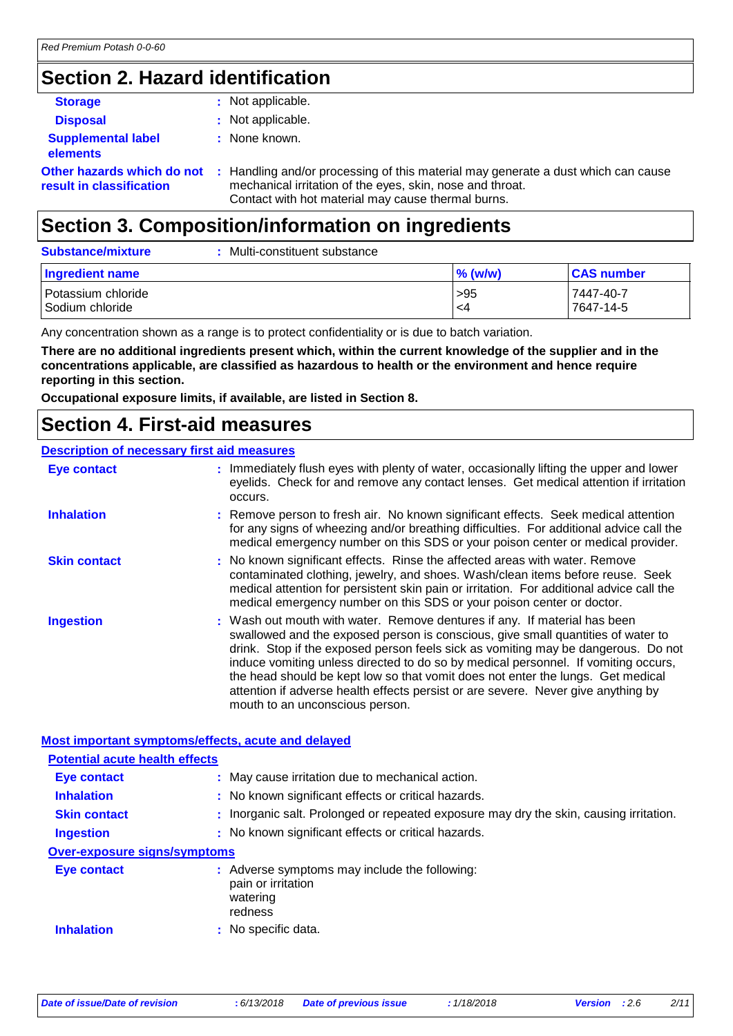## **Section 2. Hazard identification**

| <b>Storage</b>                                         | : Not applicable.                                                                                                                                                                                    |
|--------------------------------------------------------|------------------------------------------------------------------------------------------------------------------------------------------------------------------------------------------------------|
| <b>Disposal</b>                                        | : Not applicable.                                                                                                                                                                                    |
| <b>Supplemental label</b><br><b>elements</b>           | : None known.                                                                                                                                                                                        |
| Other hazards which do not<br>result in classification | : Handling and/or processing of this material may generate a dust which can cause<br>mechanical irritation of the eyes, skin, nose and throat.<br>Contact with hot material may cause thermal burns. |

## **Section 3. Composition/information on ingredients**

| <b>Substance/mixture</b>                | Multi-constituent substance |            |                        |
|-----------------------------------------|-----------------------------|------------|------------------------|
| Ingredient name                         |                             | $\%$ (w/w) | <b>CAS number</b>      |
| l Potassium chloride<br>Sodium chloride |                             | >95<br>-4  | 7447-40-7<br>7647-14-5 |

Any concentration shown as a range is to protect confidentiality or is due to batch variation.

**There are no additional ingredients present which, within the current knowledge of the supplier and in the concentrations applicable, are classified as hazardous to health or the environment and hence require reporting in this section.**

**Occupational exposure limits, if available, are listed in Section 8.**

### **Section 4. First-aid measures**

### **Description of necessary first aid measures**

| <b>Eye contact</b>  | : Immediately flush eyes with plenty of water, occasionally lifting the upper and lower<br>eyelids. Check for and remove any contact lenses. Get medical attention if irritation<br>occurs.                                                                                                                                                                                                                                                                                                                                                         |
|---------------------|-----------------------------------------------------------------------------------------------------------------------------------------------------------------------------------------------------------------------------------------------------------------------------------------------------------------------------------------------------------------------------------------------------------------------------------------------------------------------------------------------------------------------------------------------------|
| <b>Inhalation</b>   | : Remove person to fresh air. No known significant effects. Seek medical attention<br>for any signs of wheezing and/or breathing difficulties. For additional advice call the<br>medical emergency number on this SDS or your poison center or medical provider.                                                                                                                                                                                                                                                                                    |
| <b>Skin contact</b> | : No known significant effects. Rinse the affected areas with water. Remove<br>contaminated clothing, jewelry, and shoes. Wash/clean items before reuse. Seek<br>medical attention for persistent skin pain or irritation. For additional advice call the<br>medical emergency number on this SDS or your poison center or doctor.                                                                                                                                                                                                                  |
| <b>Ingestion</b>    | : Wash out mouth with water. Remove dentures if any. If material has been<br>swallowed and the exposed person is conscious, give small quantities of water to<br>drink. Stop if the exposed person feels sick as vomiting may be dangerous. Do not<br>induce vomiting unless directed to do so by medical personnel. If vomiting occurs,<br>the head should be kept low so that vomit does not enter the lungs. Get medical<br>attention if adverse health effects persist or are severe. Never give anything by<br>mouth to an unconscious person. |

### **Most important symptoms/effects, acute and delayed**

| <b>Potential acute health effects</b> |                                                                                            |
|---------------------------------------|--------------------------------------------------------------------------------------------|
| <b>Eye contact</b>                    | : May cause irritation due to mechanical action.                                           |
| <b>Inhalation</b>                     | : No known significant effects or critical hazards.                                        |
| <b>Skin contact</b>                   | : Inorganic salt. Prolonged or repeated exposure may dry the skin, causing irritation.     |
| <b>Ingestion</b>                      | : No known significant effects or critical hazards.                                        |
| <b>Over-exposure signs/symptoms</b>   |                                                                                            |
| Eye contact                           | : Adverse symptoms may include the following:<br>pain or irritation<br>watering<br>redness |
| <b>Inhalation</b>                     | : No specific data.                                                                        |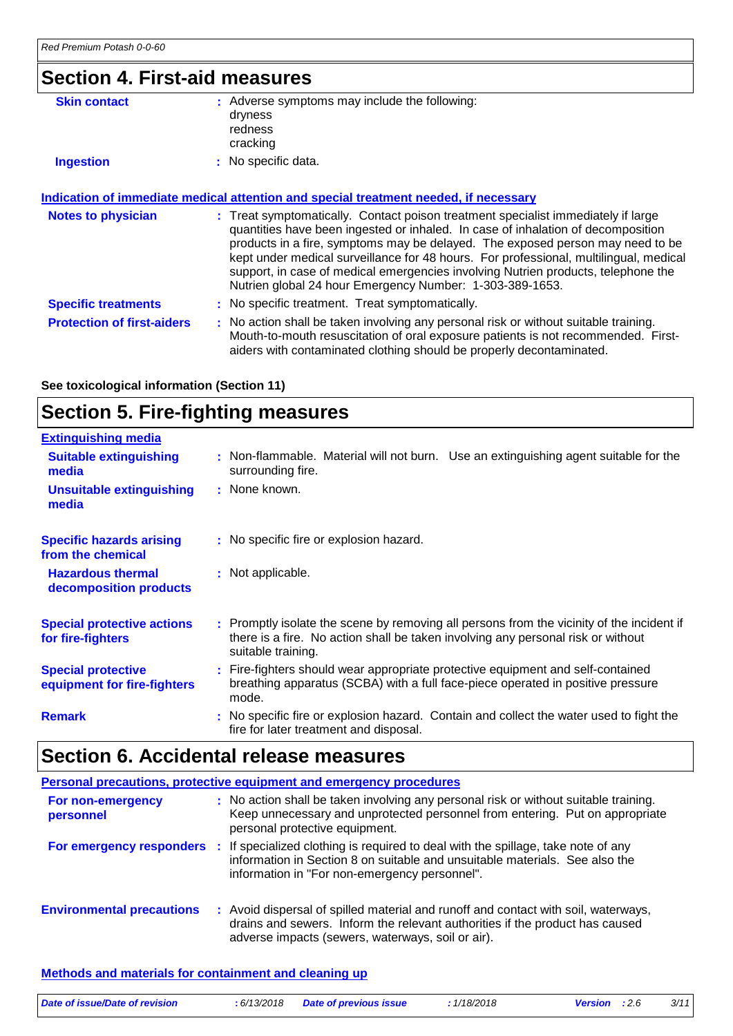## **Section 4. First-aid measures**

| <b>Skin contact</b>               | : Adverse symptoms may include the following:<br>dryness<br>redness<br>cracking                                                                                                                                                                                                                                                                                                                                                          |
|-----------------------------------|------------------------------------------------------------------------------------------------------------------------------------------------------------------------------------------------------------------------------------------------------------------------------------------------------------------------------------------------------------------------------------------------------------------------------------------|
| <b>Ingestion</b>                  | : No specific data.                                                                                                                                                                                                                                                                                                                                                                                                                      |
| <b>Notes to physician</b>         | Indication of immediate medical attention and special treatment needed, if necessary<br>: Treat symptomatically. Contact poison treatment specialist immediately if large<br>quantities have been ingested or inhaled. In case of inhalation of decomposition<br>products in a fire, symptoms may be delayed. The exposed person may need to be<br>kept under medical surveillance for 48 hours. For professional, multilingual, medical |
|                                   | support, in case of medical emergencies involving Nutrien products, telephone the<br>Nutrien global 24 hour Emergency Number: 1-303-389-1653.                                                                                                                                                                                                                                                                                            |
| <b>Specific treatments</b>        | : No specific treatment. Treat symptomatically.                                                                                                                                                                                                                                                                                                                                                                                          |
| <b>Protection of first-aiders</b> | : No action shall be taken involving any personal risk or without suitable training.                                                                                                                                                                                                                                                                                                                                                     |

Mouth-to-mouth resuscitation of oral exposure patients is not recommended. First-

aiders with contaminated clothing should be properly decontaminated.

**See toxicological information (Section 11)**

## **Section 5. Fire-fighting measures**

| <b>Extinguishing media</b>                               |                                                                                                                                                                                                     |
|----------------------------------------------------------|-----------------------------------------------------------------------------------------------------------------------------------------------------------------------------------------------------|
| <b>Suitable extinguishing</b><br>media                   | : Non-flammable. Material will not burn. Use an extinguishing agent suitable for the<br>surrounding fire.                                                                                           |
| <b>Unsuitable extinguishing</b><br>media                 | : None known.                                                                                                                                                                                       |
| <b>Specific hazards arising</b><br>from the chemical     | : No specific fire or explosion hazard.                                                                                                                                                             |
| <b>Hazardous thermal</b><br>decomposition products       | : Not applicable.                                                                                                                                                                                   |
| <b>Special protective actions</b><br>for fire-fighters   | : Promptly isolate the scene by removing all persons from the vicinity of the incident if<br>there is a fire. No action shall be taken involving any personal risk or without<br>suitable training. |
| <b>Special protective</b><br>equipment for fire-fighters | : Fire-fighters should wear appropriate protective equipment and self-contained<br>breathing apparatus (SCBA) with a full face-piece operated in positive pressure<br>mode.                         |
| <b>Remark</b>                                            | : No specific fire or explosion hazard. Contain and collect the water used to fight the<br>fire for later treatment and disposal.                                                                   |

## **Section 6. Accidental release measures**

|                                  | Personal precautions, protective equipment and emergency procedures                                                                                                                                                                        |
|----------------------------------|--------------------------------------------------------------------------------------------------------------------------------------------------------------------------------------------------------------------------------------------|
| For non-emergency<br>personnel   | : No action shall be taken involving any personal risk or without suitable training.<br>Keep unnecessary and unprotected personnel from entering. Put on appropriate<br>personal protective equipment.                                     |
|                                  | For emergency responders : If specialized clothing is required to deal with the spillage, take note of any<br>information in Section 8 on suitable and unsuitable materials. See also the<br>information in "For non-emergency personnel". |
| <b>Environmental precautions</b> | : Avoid dispersal of spilled material and runoff and contact with soil, waterways,<br>drains and sewers. Inform the relevant authorities if the product has caused<br>adverse impacts (sewers, waterways, soil or air).                    |

### **Methods and materials for containment and cleaning up**

| Date of issue/Date of revision | : 6/13/2018 Date of previous issue | 1/18/2018 | <b>Version</b> : 2.6 | 3/11 |
|--------------------------------|------------------------------------|-----------|----------------------|------|
|                                |                                    |           |                      |      |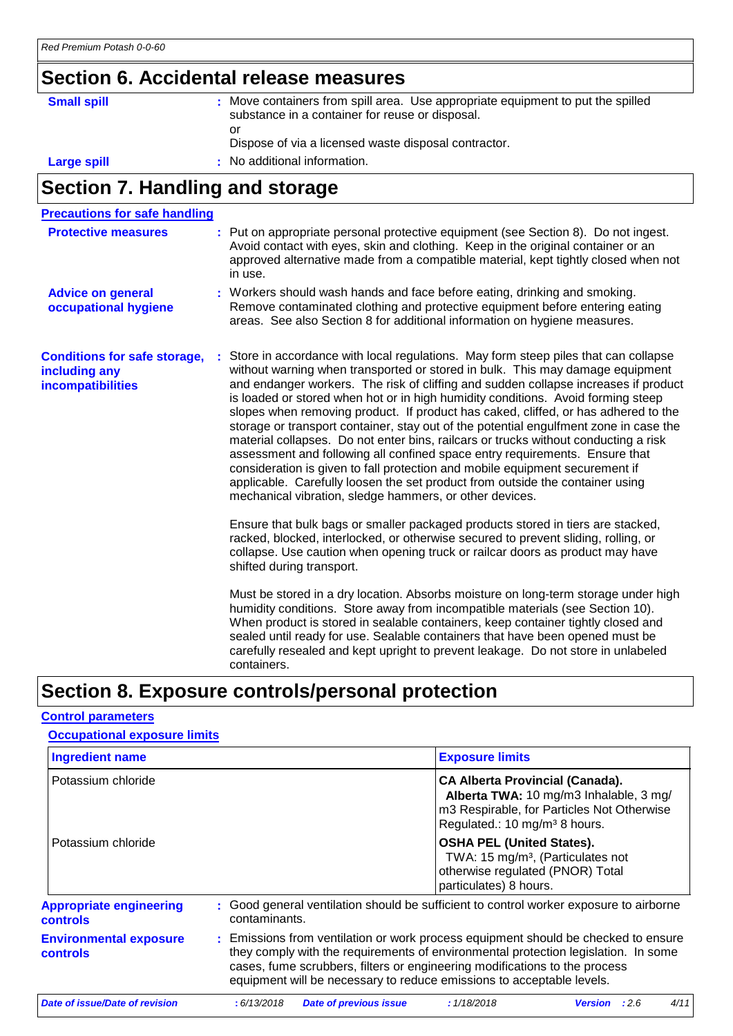## **Section 6. Accidental release measures**

| <b>Small spill</b> | : Move containers from spill area. Use appropriate equipment to put the spilled<br>substance in a container for reuse or disposal. |
|--------------------|------------------------------------------------------------------------------------------------------------------------------------|
|                    | or<br>Dispose of via a licensed waste disposal contractor.                                                                         |
| Large spill        | : No additional information.                                                                                                       |

# **Section 7. Handling and storage**

| <b>Precautions for safe handling</b>                                      |                                                                                                                                                                                                                                                                                                                                                                                                                                                                                                                                                                                                                                                                                                                                                                                                                                                                                                                                 |
|---------------------------------------------------------------------------|---------------------------------------------------------------------------------------------------------------------------------------------------------------------------------------------------------------------------------------------------------------------------------------------------------------------------------------------------------------------------------------------------------------------------------------------------------------------------------------------------------------------------------------------------------------------------------------------------------------------------------------------------------------------------------------------------------------------------------------------------------------------------------------------------------------------------------------------------------------------------------------------------------------------------------|
| <b>Protective measures</b>                                                | : Put on appropriate personal protective equipment (see Section 8). Do not ingest.<br>Avoid contact with eyes, skin and clothing. Keep in the original container or an<br>approved alternative made from a compatible material, kept tightly closed when not<br>in use.                                                                                                                                                                                                                                                                                                                                                                                                                                                                                                                                                                                                                                                         |
| <b>Advice on general</b><br>occupational hygiene                          | : Workers should wash hands and face before eating, drinking and smoking.<br>Remove contaminated clothing and protective equipment before entering eating<br>areas. See also Section 8 for additional information on hygiene measures.                                                                                                                                                                                                                                                                                                                                                                                                                                                                                                                                                                                                                                                                                          |
| <b>Conditions for safe storage,</b><br>including any<br>incompatibilities | Store in accordance with local regulations. May form steep piles that can collapse<br>without warning when transported or stored in bulk. This may damage equipment<br>and endanger workers. The risk of cliffing and sudden collapse increases if product<br>is loaded or stored when hot or in high humidity conditions. Avoid forming steep<br>slopes when removing product. If product has caked, cliffed, or has adhered to the<br>storage or transport container, stay out of the potential engulfment zone in case the<br>material collapses. Do not enter bins, railcars or trucks without conducting a risk<br>assessment and following all confined space entry requirements. Ensure that<br>consideration is given to fall protection and mobile equipment securement if<br>applicable. Carefully loosen the set product from outside the container using<br>mechanical vibration, sledge hammers, or other devices. |
|                                                                           | Ensure that bulk bags or smaller packaged products stored in tiers are stacked,<br>racked, blocked, interlocked, or otherwise secured to prevent sliding, rolling, or<br>collapse. Use caution when opening truck or railcar doors as product may have<br>shifted during transport.                                                                                                                                                                                                                                                                                                                                                                                                                                                                                                                                                                                                                                             |
|                                                                           | Must be stored in a dry location. Absorbs moisture on long-term storage under high<br>humidity conditions. Store away from incompatible materials (see Section 10).<br>When product is stored in sealable containers, keep container tightly closed and<br>sealed until ready for use. Sealable containers that have been opened must be<br>carefully resealed and kept upright to prevent leakage. Do not store in unlabeled<br>containers.                                                                                                                                                                                                                                                                                                                                                                                                                                                                                    |

## **Section 8. Exposure controls/personal protection**

### **Control parameters**

| <b>Occupational exposure limits</b>               |                                                                                                                                                                                                                                                                                                                                 |                                                                                                                                                 |                                                                                      |  |  |  |
|---------------------------------------------------|---------------------------------------------------------------------------------------------------------------------------------------------------------------------------------------------------------------------------------------------------------------------------------------------------------------------------------|-------------------------------------------------------------------------------------------------------------------------------------------------|--------------------------------------------------------------------------------------|--|--|--|
| <b>Ingredient name</b>                            |                                                                                                                                                                                                                                                                                                                                 | <b>Exposure limits</b>                                                                                                                          |                                                                                      |  |  |  |
| Potassium chloride                                |                                                                                                                                                                                                                                                                                                                                 | <b>CA Alberta Provincial (Canada).</b><br>Regulated.: 10 mg/m <sup>3</sup> 8 hours.                                                             | Alberta TWA: 10 mg/m3 Inhalable, 3 mg/<br>m3 Respirable, for Particles Not Otherwise |  |  |  |
| Potassium chloride                                |                                                                                                                                                                                                                                                                                                                                 | <b>OSHA PEL (United States).</b><br>TWA: 15 mg/m <sup>3</sup> , (Particulates not<br>otherwise regulated (PNOR) Total<br>particulates) 8 hours. |                                                                                      |  |  |  |
| <b>Appropriate engineering</b><br><b>controls</b> | : Good general ventilation should be sufficient to control worker exposure to airborne<br>contaminants.                                                                                                                                                                                                                         |                                                                                                                                                 |                                                                                      |  |  |  |
| <b>Environmental exposure</b><br><b>controls</b>  | : Emissions from ventilation or work process equipment should be checked to ensure<br>they comply with the requirements of environmental protection legislation. In some<br>cases, fume scrubbers, filters or engineering modifications to the process<br>equipment will be necessary to reduce emissions to acceptable levels. |                                                                                                                                                 |                                                                                      |  |  |  |
| Date of issue/Date of revision                    | <b>Date of previous issue</b><br>:6/13/2018                                                                                                                                                                                                                                                                                     | : 1/18/2018                                                                                                                                     | :2.6<br>4/11<br><b>Version</b>                                                       |  |  |  |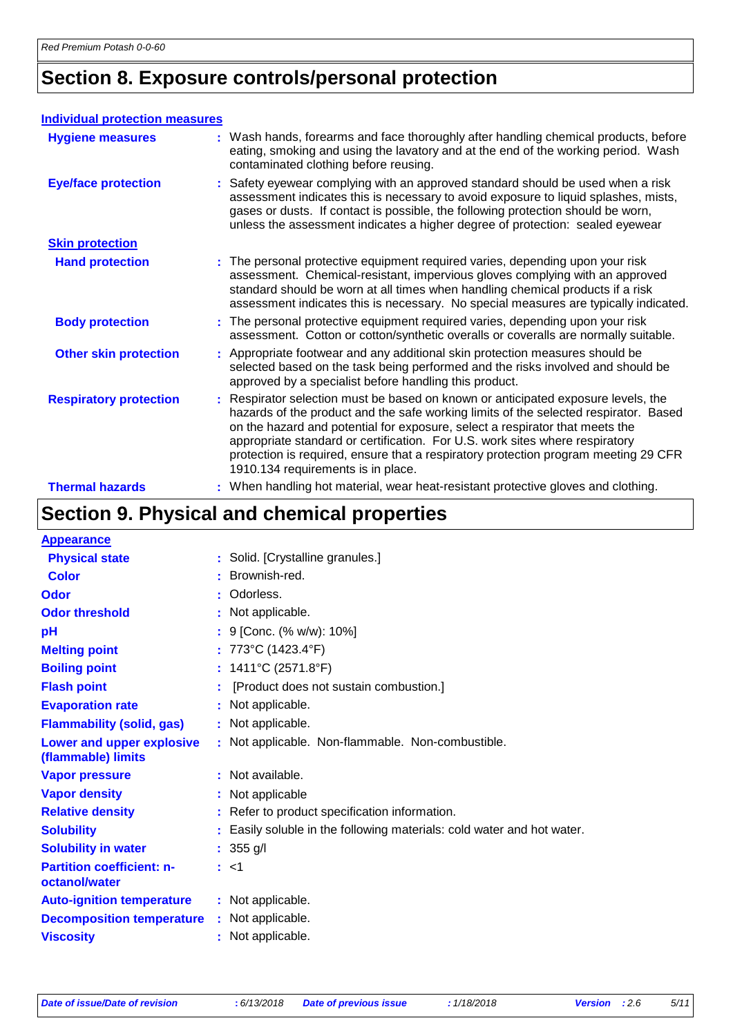## **Section 8. Exposure controls/personal protection**

### **Individual protection measures**

| <b>Hygiene measures</b>       |    | : Wash hands, forearms and face thoroughly after handling chemical products, before<br>eating, smoking and using the lavatory and at the end of the working period. Wash<br>contaminated clothing before reusing.                                                                                                                                                                                                                                                    |
|-------------------------------|----|----------------------------------------------------------------------------------------------------------------------------------------------------------------------------------------------------------------------------------------------------------------------------------------------------------------------------------------------------------------------------------------------------------------------------------------------------------------------|
| <b>Eye/face protection</b>    |    | : Safety eyewear complying with an approved standard should be used when a risk<br>assessment indicates this is necessary to avoid exposure to liquid splashes, mists,<br>gases or dusts. If contact is possible, the following protection should be worn,<br>unless the assessment indicates a higher degree of protection: sealed eyewear                                                                                                                          |
| <b>Skin protection</b>        |    |                                                                                                                                                                                                                                                                                                                                                                                                                                                                      |
| <b>Hand protection</b>        |    | : The personal protective equipment required varies, depending upon your risk<br>assessment. Chemical-resistant, impervious gloves complying with an approved<br>standard should be worn at all times when handling chemical products if a risk<br>assessment indicates this is necessary. No special measures are typically indicated.                                                                                                                              |
| <b>Body protection</b>        |    | : The personal protective equipment required varies, depending upon your risk<br>assessment. Cotton or cotton/synthetic overalls or coveralls are normally suitable.                                                                                                                                                                                                                                                                                                 |
| <b>Other skin protection</b>  |    | : Appropriate footwear and any additional skin protection measures should be<br>selected based on the task being performed and the risks involved and should be<br>approved by a specialist before handling this product.                                                                                                                                                                                                                                            |
| <b>Respiratory protection</b> | ÷. | Respirator selection must be based on known or anticipated exposure levels, the<br>hazards of the product and the safe working limits of the selected respirator. Based<br>on the hazard and potential for exposure, select a respirator that meets the<br>appropriate standard or certification. For U.S. work sites where respiratory<br>protection is required, ensure that a respiratory protection program meeting 29 CFR<br>1910.134 requirements is in place. |
| <b>Thermal hazards</b>        |    | : When handling hot material, wear heat-resistant protective gloves and clothing.                                                                                                                                                                                                                                                                                                                                                                                    |

## **Section 9. Physical and chemical properties**

| : Solid. [Crystalline granules.]                                     |
|----------------------------------------------------------------------|
| Brownish-red.                                                        |
| : Odorless.                                                          |
| : Not applicable.                                                    |
| : 9 [Conc. (% w/w): 10%]                                             |
| : 773°C (1423.4°F)                                                   |
| : $1411^{\circ}C(2571.8^{\circ}F)$                                   |
| [Product does not sustain combustion.]                               |
| : Not applicable.                                                    |
| : Not applicable.                                                    |
| : Not applicable. Non-flammable. Non-combustible.                    |
| : Not available.                                                     |
| : Not applicable                                                     |
| : Refer to product specification information.                        |
| Easily soluble in the following materials: cold water and hot water. |
| : $355 \text{ g/l}$                                                  |
| : <1                                                                 |
| : Not applicable.                                                    |
| : Not applicable.                                                    |
| : Not applicable.                                                    |
| <b>Decomposition temperature</b>                                     |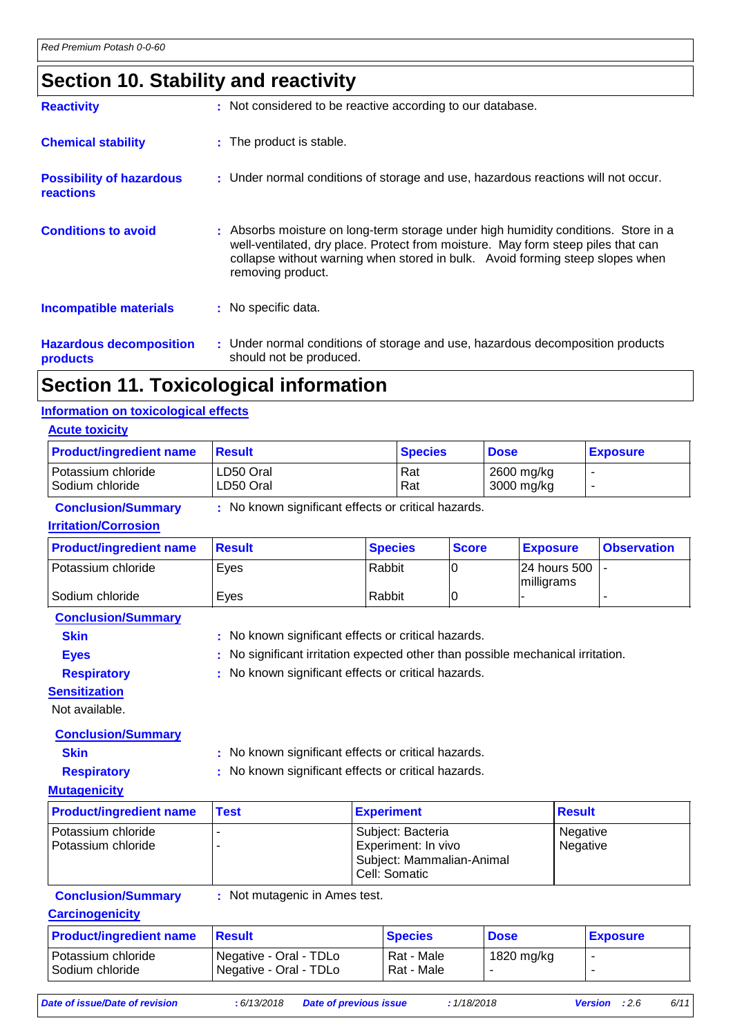## **Section 10. Stability and reactivity**

| <b>Reactivity</b>                                   | : Not considered to be reactive according to our database.                                                                                                                                                                                                                   |
|-----------------------------------------------------|------------------------------------------------------------------------------------------------------------------------------------------------------------------------------------------------------------------------------------------------------------------------------|
| <b>Chemical stability</b>                           | : The product is stable.                                                                                                                                                                                                                                                     |
| <b>Possibility of hazardous</b><br><b>reactions</b> | : Under normal conditions of storage and use, hazardous reactions will not occur.                                                                                                                                                                                            |
| <b>Conditions to avoid</b>                          | : Absorbs moisture on long-term storage under high humidity conditions. Store in a<br>well-ventilated, dry place. Protect from moisture. May form steep piles that can<br>collapse without warning when stored in bulk. Avoid forming steep slopes when<br>removing product. |
| <b>Incompatible materials</b>                       | : No specific data.                                                                                                                                                                                                                                                          |
| <b>Hazardous decomposition</b><br>products          | : Under normal conditions of storage and use, hazardous decomposition products<br>should not be produced.                                                                                                                                                                    |
|                                                     |                                                                                                                                                                                                                                                                              |

## **Section 11. Toxicological information**

### **Information on toxicological effects**

| <b>Acute toxicity</b>                 |                        |                |                          |                 |
|---------------------------------------|------------------------|----------------|--------------------------|-----------------|
| <b>Product/ingredient name</b>        | <b>Result</b>          | <b>Species</b> | <b>Dose</b>              | <b>Exposure</b> |
| Potassium chloride<br>Sodium chloride | LD50 Oral<br>LD50 Oral | l Rat<br>Rat   | 2600 mg/kg<br>3000 mg/kg | -               |

### **Conclusion/Summary :** No known significant effects or critical hazards.

### **Irritation/Corrosion**

| <b>Product/ingredient name</b> | ⊺Result | <b>Species</b> | <b>Score</b> | <b>Exposure</b>                | <b>Observation</b> |
|--------------------------------|---------|----------------|--------------|--------------------------------|--------------------|
| Potassium chloride             | Eyes    | Rabbit         |              | 124 hours 500 1-<br>milligrams |                    |
| Sodium chloride                | Eves    | Rabbit         |              |                                |                    |

**Conclusion/Summary**

- 
- 

**Skin** : No known significant effects or critical hazards. **Eyes** : No significant irritation expected other than possible mechanical irritation.

**Respiratory :** No known significant effects or critical hazards.

### **Sensitization**

Not available.

### **Conclusion/Summary**

**Skin :** No known significant effects or critical hazards.

**Respiratory :** No known significant effects or critical hazards.

### **Mutagenicity**

| <b>Product/ingredient name</b>             | <b>Test</b> | <b>Experiment</b>                                                                      | <b>Result</b>        |
|--------------------------------------------|-------------|----------------------------------------------------------------------------------------|----------------------|
| l Potassium chloride<br>Potassium chloride |             | Subject: Bacteria<br>Experiment: In vivo<br>Subject: Mammalian-Animal<br>Cell: Somatic | Negative<br>Negative |

**Conclusion/Summary :** Not mutagenic in Ames test.

### **Carcinogenicity**

| <b>Product/ingredient name</b>          | Result                                             | <b>Species</b>           | <b>Dose</b> | <b>Exposure</b> |
|-----------------------------------------|----------------------------------------------------|--------------------------|-------------|-----------------|
| Potassium chloride<br>l Sodium chloride | Negative - Oral - TDLo<br>I Negative - Oral - TDLo | Rat - Male<br>Rat - Male | 1820 mg/kg  | ۰               |

*Date of issue/Date of revision* **:** *6/13/2018 Date of previous issue : 1/18/2018 Version : 2.6 6/11*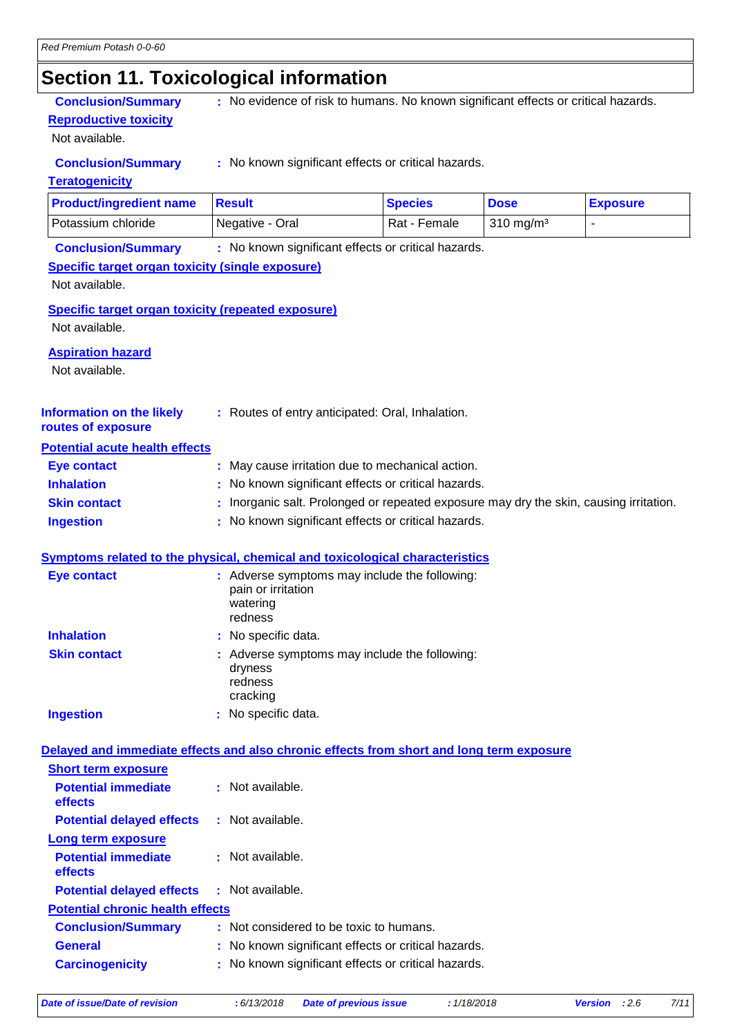## **Section 11. Toxicological information**

**Reproductive toxicity**

Not available.

**Conclusion/Summary** : No evidence of risk to humans. No known significant effects or critical hazards.

**Conclusion/Summary :** No known significant effects or critical hazards.

### **Teratogenicity**

| <b>Product/ingredient name</b> | ⊺Result         | <b>Species</b> | <b>Dose</b>          | <b>Exposure</b> |
|--------------------------------|-----------------|----------------|----------------------|-----------------|
| l Potassium chloride           | Negative - Oral | Rat - Female   | $310 \text{ mg/m}^3$ |                 |

**Conclusion/Summary :** No known significant effects or critical hazards.

### **Specific target organ toxicity (single exposure)**

Not available.

**Specific target organ toxicity (repeated exposure)**

Not available.

### **Aspiration hazard**

Not available.

| <b>Information on the likely</b> | : Routes of entry anticipated: Oral, Inhalation. |
|----------------------------------|--------------------------------------------------|
|                                  |                                                  |

#### **routes of exposure Potential acute health effects**

| <u>oloniai avato noann onoolo</u> |                                                                                        |
|-----------------------------------|----------------------------------------------------------------------------------------|
| Eye contact                       | : May cause irritation due to mechanical action.                                       |
| <b>Inhalation</b>                 | : No known significant effects or critical hazards.                                    |
| <b>Skin contact</b>               | : Inorganic salt. Prolonged or repeated exposure may dry the skin, causing irritation. |
| <b>Ingestion</b>                  | : No known significant effects or critical hazards.                                    |

### **Symptoms related to the physical, chemical and toxicological characteristics**

| <b>Eye contact</b>  | : Adverse symptoms may include the following:<br>pain or irritation<br>watering<br>redness |
|---------------------|--------------------------------------------------------------------------------------------|
| <b>Inhalation</b>   | : No specific data.                                                                        |
| <b>Skin contact</b> | : Adverse symptoms may include the following:<br>dryness<br>redness<br>cracking            |
| <b>Ingestion</b>    | No specific data.                                                                          |

### **Delayed and immediate effects and also chronic effects from short and long term exposure**

| <b>Short term exposure</b>                   |                                                     |
|----------------------------------------------|-----------------------------------------------------|
| <b>Potential immediate</b><br><b>effects</b> | : Not available.                                    |
| <b>Potential delayed effects</b>             | : Not available.                                    |
| Long term exposure                           |                                                     |
| <b>Potential immediate</b><br><b>effects</b> | : Not available.                                    |
| <b>Potential delayed effects</b>             | : Not available.                                    |
| <b>Potential chronic health effects</b>      |                                                     |
| <b>Conclusion/Summary</b>                    | : Not considered to be toxic to humans.             |
| General                                      | : No known significant effects or critical hazards. |
| <b>Carcinogenicity</b>                       | : No known significant effects or critical hazards. |
|                                              |                                                     |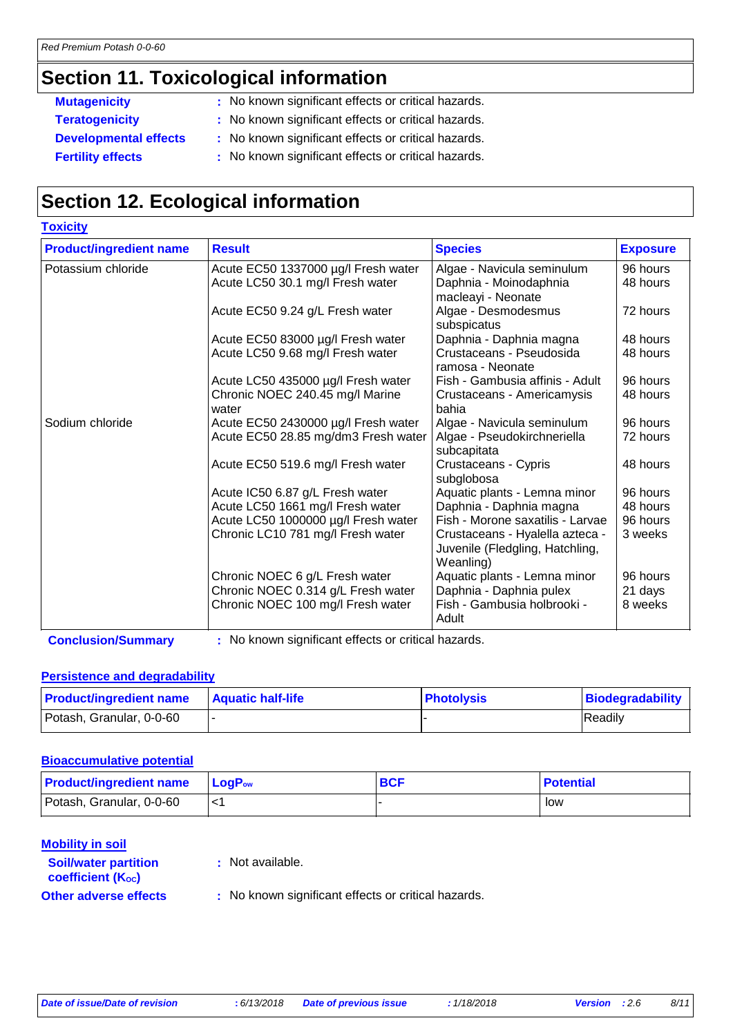## **Section 11. Toxicological information**

**Toxicity**

- **Mutagenicity** : No known significant effects or critical hazards.
- **Teratogenicity :** No known significant effects or critical hazards.
- **Developmental effects :** No known significant effects or critical hazards.
- **Fertility effects** : No known significant effects or critical hazards.

## **Section 12. Ecological information**

| <b>TOXICITY</b>                |                                          |                                                                                 |                 |
|--------------------------------|------------------------------------------|---------------------------------------------------------------------------------|-----------------|
| <b>Product/ingredient name</b> | <b>Result</b>                            | <b>Species</b>                                                                  | <b>Exposure</b> |
| Potassium chloride             | Acute EC50 1337000 µg/l Fresh water      | Algae - Navicula seminulum                                                      | 96 hours        |
|                                | Acute LC50 30.1 mg/l Fresh water         | Daphnia - Moinodaphnia<br>macleayi - Neonate                                    | 48 hours        |
|                                | Acute EC50 9.24 g/L Fresh water          | Algae - Desmodesmus<br>subspicatus                                              | 72 hours        |
|                                | Acute EC50 83000 µg/l Fresh water        | Daphnia - Daphnia magna                                                         | 48 hours        |
|                                | Acute LC50 9.68 mg/l Fresh water         | Crustaceans - Pseudosida<br>ramosa - Neonate                                    | 48 hours        |
|                                | Acute LC50 435000 µg/l Fresh water       | Fish - Gambusia affinis - Adult                                                 | 96 hours        |
|                                | Chronic NOEC 240.45 mg/l Marine<br>water | Crustaceans - Americamysis<br>bahia                                             | 48 hours        |
| Sodium chloride                | Acute EC50 2430000 µg/l Fresh water      | Algae - Navicula seminulum                                                      | 96 hours        |
|                                | Acute EC50 28.85 mg/dm3 Fresh water      | Algae - Pseudokirchneriella<br>subcapitata                                      | 72 hours        |
|                                | Acute EC50 519.6 mg/l Fresh water        | Crustaceans - Cypris<br>subglobosa                                              | 48 hours        |
|                                | Acute IC50 6.87 g/L Fresh water          | Aquatic plants - Lemna minor                                                    | 96 hours        |
|                                | Acute LC50 1661 mg/l Fresh water         | Daphnia - Daphnia magna                                                         | 48 hours        |
|                                | Acute LC50 1000000 µg/l Fresh water      | Fish - Morone saxatilis - Larvae                                                | 96 hours        |
|                                | Chronic LC10 781 mg/l Fresh water        | Crustaceans - Hyalella azteca -<br>Juvenile (Fledgling, Hatchling,<br>Weanling) | 3 weeks         |
|                                | Chronic NOEC 6 g/L Fresh water           | Aquatic plants - Lemna minor                                                    | 96 hours        |
|                                | Chronic NOEC 0.314 g/L Fresh water       | Daphnia - Daphnia pulex                                                         | 21 days         |
|                                | Chronic NOEC 100 mg/l Fresh water        | Fish - Gambusia holbrooki -<br>Adult                                            | 8 weeks         |

**Conclusion/Summary :** No known significant effects or critical hazards.

### **Persistence and degradability**

| <b>Product/ingredient name</b> | <b>Aquatic half-life</b> | <b>Photolysis</b> | Biodegradability |
|--------------------------------|--------------------------|-------------------|------------------|
| Potash, Granular, 0-0-60       |                          |                   | Readily          |

### **Bioaccumulative potential**

| <b>Product/ingredient name</b> | $\mathsf{LogP}_\mathsf{ow}$ | <b>BCF</b> | <b>Potential</b> |
|--------------------------------|-----------------------------|------------|------------------|
| Potash, Granular, 0-0-60       |                             |            | low              |

### **Mobility in soil**

**:** Not available.

```
coefficient (Koc)
```
**Soil/water partition** 

**Other adverse effects** : No known significant effects or critical hazards.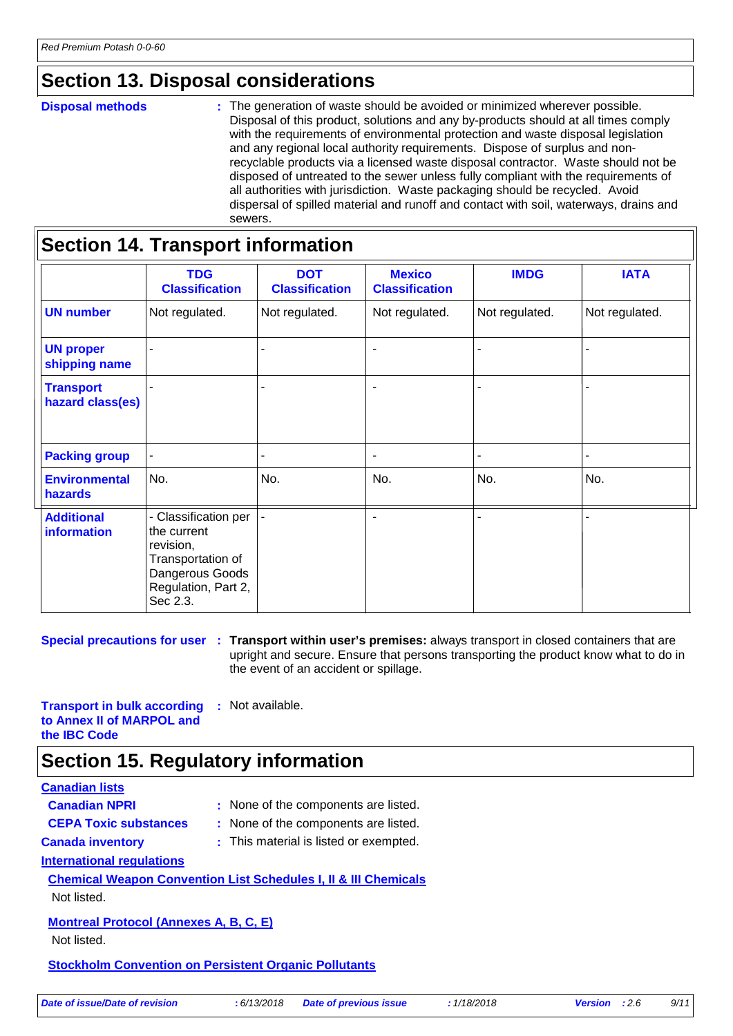## **Section 13. Disposal considerations**

#### **Disposal methods :**

The generation of waste should be avoided or minimized wherever possible. Disposal of this product, solutions and any by-products should at all times comply with the requirements of environmental protection and waste disposal legislation and any regional local authority requirements. Dispose of surplus and nonrecyclable products via a licensed waste disposal contractor. Waste should not be disposed of untreated to the sewer unless fully compliant with the requirements of all authorities with jurisdiction. Waste packaging should be recycled. Avoid dispersal of spilled material and runoff and contact with soil, waterways, drains and sewers.

| <b>Section 14. Transport information</b> |                                                                                                                             |                                     |                                        |                |                |
|------------------------------------------|-----------------------------------------------------------------------------------------------------------------------------|-------------------------------------|----------------------------------------|----------------|----------------|
|                                          | <b>TDG</b><br><b>Classification</b>                                                                                         | <b>DOT</b><br><b>Classification</b> | <b>Mexico</b><br><b>Classification</b> | <b>IMDG</b>    | <b>IATA</b>    |
| <b>UN number</b>                         | Not regulated.                                                                                                              | Not regulated.                      | Not regulated.                         | Not regulated. | Not regulated. |
| <b>UN proper</b><br>shipping name        |                                                                                                                             |                                     | $\blacksquare$                         |                |                |
| <b>Transport</b><br>hazard class(es)     |                                                                                                                             |                                     | $\blacksquare$                         |                |                |
| <b>Packing group</b>                     |                                                                                                                             |                                     | $\blacksquare$                         |                |                |
| <b>Environmental</b><br>hazards          | No.                                                                                                                         | No.                                 | No.                                    | No.            | No.            |
| <b>Additional</b><br><b>information</b>  | - Classification per<br>the current<br>revision,<br>Transportation of<br>Dangerous Goods<br>Regulation, Part 2,<br>Sec 2.3. |                                     | $\blacksquare$                         |                |                |

**Special precautions for user** : Transport within user's premises: always transport in closed containers that are upright and secure. Ensure that persons transporting the product know what to do in the event of an accident or spillage.

**Transport in bulk according to Annex II of MARPOL and the IBC Code :** Not available.

## **Section 15. Regulatory information**

### **Canadian lists**

| <b>Canadian NPRI</b>                                         | : None of the components are listed.                                       |
|--------------------------------------------------------------|----------------------------------------------------------------------------|
| <b>CEPA Toxic substances</b>                                 | : None of the components are listed.                                       |
| <b>Canada inventory</b>                                      | : This material is listed or exempted.                                     |
| International regulations                                    |                                                                            |
|                                                              | <b>Chemical Weapon Convention List Schedules I, II &amp; III Chemicals</b> |
| Not listed.                                                  |                                                                            |
| <b>Montreal Protocol (Annexes A, B, C, E)</b>                |                                                                            |
| Not listed.                                                  |                                                                            |
| <b>Stockholm Convention on Persistent Organic Pollutants</b> |                                                                            |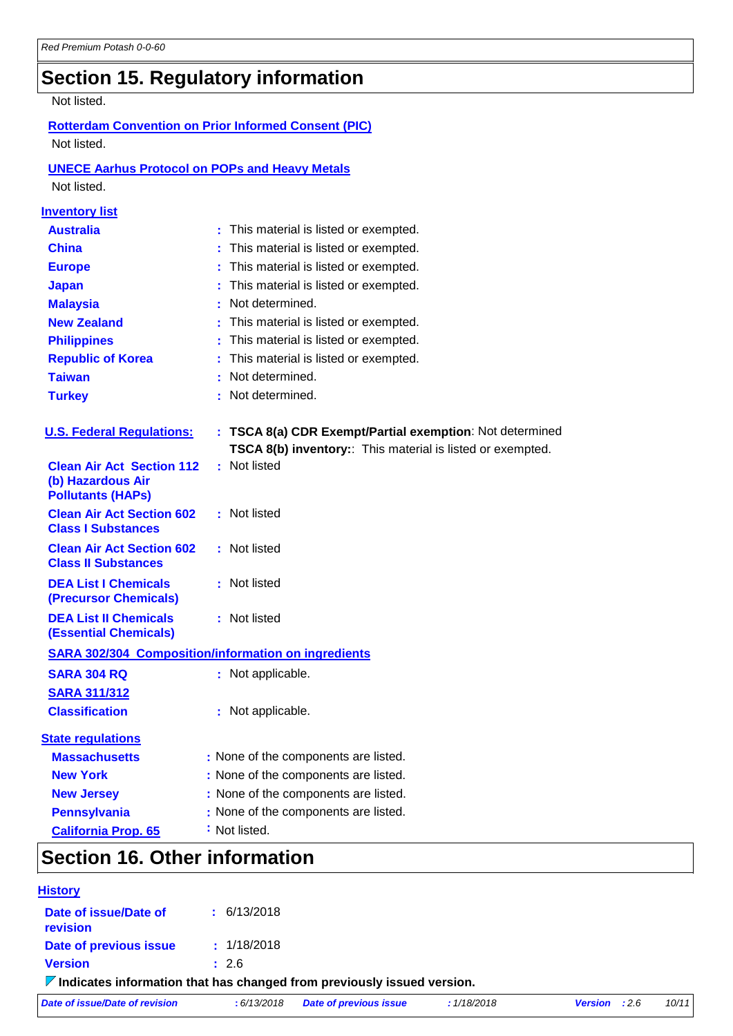# **Section 15. Regulatory information**

### Not listed.

### **Rotterdam Convention on Prior Informed Consent (PIC)** Not listed.

### **UNECE Aarhus Protocol on POPs and Heavy Metals**

Not listed.

| <b>Inventory list</b>                                                             |                                                                                                                        |
|-----------------------------------------------------------------------------------|------------------------------------------------------------------------------------------------------------------------|
| <b>Australia</b>                                                                  | : This material is listed or exempted.                                                                                 |
| <b>China</b>                                                                      | This material is listed or exempted.                                                                                   |
| <b>Europe</b>                                                                     | This material is listed or exempted.                                                                                   |
| <b>Japan</b>                                                                      | This material is listed or exempted.                                                                                   |
| <b>Malaysia</b>                                                                   | Not determined.                                                                                                        |
| <b>New Zealand</b>                                                                | This material is listed or exempted.                                                                                   |
| <b>Philippines</b>                                                                | This material is listed or exempted.                                                                                   |
| <b>Republic of Korea</b>                                                          | This material is listed or exempted.                                                                                   |
| <b>Taiwan</b>                                                                     | Not determined.                                                                                                        |
| <b>Turkey</b>                                                                     | Not determined.                                                                                                        |
| <b>U.S. Federal Regulations:</b>                                                  | : TSCA 8(a) CDR Exempt/Partial exemption: Not determined<br>TSCA 8(b) inventory:: This material is listed or exempted. |
| <b>Clean Air Act Section 112</b><br>(b) Hazardous Air<br><b>Pollutants (HAPs)</b> | : Not listed                                                                                                           |
| <b>Clean Air Act Section 602</b><br><b>Class I Substances</b>                     | : Not listed                                                                                                           |
| <b>Clean Air Act Section 602</b><br><b>Class II Substances</b>                    | : Not listed                                                                                                           |
| <b>DEA List I Chemicals</b><br>(Precursor Chemicals)                              | : Not listed                                                                                                           |
| <b>DEA List II Chemicals</b><br><b>(Essential Chemicals)</b>                      | : Not listed                                                                                                           |
|                                                                                   | <b>SARA 302/304 Composition/information on ingredients</b>                                                             |
| <b>SARA 304 RQ</b>                                                                | : Not applicable.                                                                                                      |
| <b>SARA 311/312</b>                                                               |                                                                                                                        |
| <b>Classification</b>                                                             | : Not applicable.                                                                                                      |
| <b>State regulations</b>                                                          |                                                                                                                        |
| <b>Massachusetts</b>                                                              | : None of the components are listed.                                                                                   |
| <b>New York</b>                                                                   | : None of the components are listed.                                                                                   |
| <b>New Jersey</b>                                                                 | : None of the components are listed.                                                                                   |
| <b>Pennsylvania</b>                                                               | : None of the components are listed.                                                                                   |
| <b>California Prop. 65</b>                                                        | : Not listed.                                                                                                          |
|                                                                                   |                                                                                                                        |

### **Section 16. Other information**

| <b>History</b>                                                                         |                 |                               |             |                        |       |
|----------------------------------------------------------------------------------------|-----------------|-------------------------------|-------------|------------------------|-------|
| Date of issue/Date of<br><b>revision</b>                                               | $\pm$ 6/13/2018 |                               |             |                        |       |
| Date of previous issue                                                                 | : 1/18/2018     |                               |             |                        |       |
| <b>Version</b>                                                                         | : 2.6           |                               |             |                        |       |
| $\triangledown$ Indicates information that has changed from previously issued version. |                 |                               |             |                        |       |
| Date of issue/Date of revision                                                         | :6/13/2018      | <b>Date of previous issue</b> | : 1/18/2018 | <b>Version</b> : $2.6$ | 10/11 |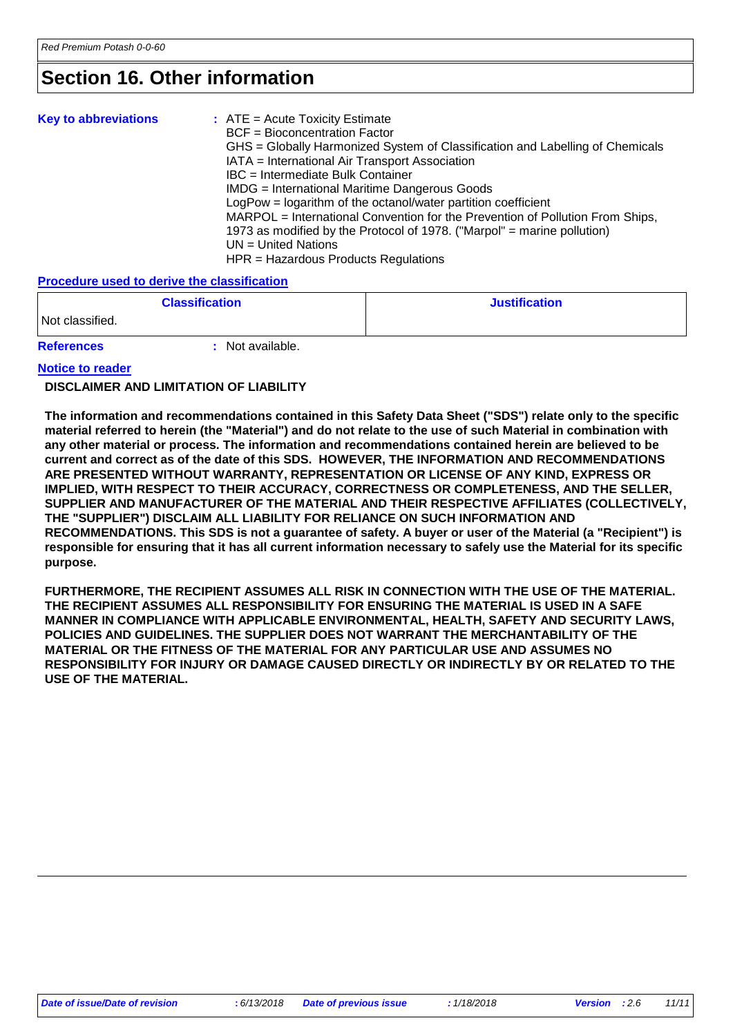## **Section 16. Other information**

| <b>Key to abbreviations</b> | $:$ ATE = Acute Toxicity Estimate<br><b>BCF</b> = Bioconcentration Factor<br>GHS = Globally Harmonized System of Classification and Labelling of Chemicals<br>IATA = International Air Transport Association<br>IBC = Intermediate Bulk Container<br>IMDG = International Maritime Dangerous Goods<br>LogPow = logarithm of the octanol/water partition coefficient<br>MARPOL = International Convention for the Prevention of Pollution From Ships,<br>1973 as modified by the Protocol of 1978. ("Marpol" = marine pollution)<br>$UN = United Nations$ |
|-----------------------------|----------------------------------------------------------------------------------------------------------------------------------------------------------------------------------------------------------------------------------------------------------------------------------------------------------------------------------------------------------------------------------------------------------------------------------------------------------------------------------------------------------------------------------------------------------|
|                             | HPR = Hazardous Products Regulations                                                                                                                                                                                                                                                                                                                                                                                                                                                                                                                     |

#### **Procedure used to derive the classification**

|                   | <b>Classification</b> | <b>Justification</b> |
|-------------------|-----------------------|----------------------|
| Not classified.   |                       |                      |
| <b>References</b> | Not available.        |                      |

### **Notice to reader**

### **DISCLAIMER AND LIMITATION OF LIABILITY**

**The information and recommendations contained in this Safety Data Sheet ("SDS") relate only to the specific material referred to herein (the "Material") and do not relate to the use of such Material in combination with any other material or process. The information and recommendations contained herein are believed to be current and correct as of the date of this SDS. HOWEVER, THE INFORMATION AND RECOMMENDATIONS ARE PRESENTED WITHOUT WARRANTY, REPRESENTATION OR LICENSE OF ANY KIND, EXPRESS OR IMPLIED, WITH RESPECT TO THEIR ACCURACY, CORRECTNESS OR COMPLETENESS, AND THE SELLER, SUPPLIER AND MANUFACTURER OF THE MATERIAL AND THEIR RESPECTIVE AFFILIATES (COLLECTIVELY, THE "SUPPLIER") DISCLAIM ALL LIABILITY FOR RELIANCE ON SUCH INFORMATION AND RECOMMENDATIONS. This SDS is not a guarantee of safety. A buyer or user of the Material (a "Recipient") is responsible for ensuring that it has all current information necessary to safely use the Material for its specific purpose.**

**FURTHERMORE, THE RECIPIENT ASSUMES ALL RISK IN CONNECTION WITH THE USE OF THE MATERIAL. THE RECIPIENT ASSUMES ALL RESPONSIBILITY FOR ENSURING THE MATERIAL IS USED IN A SAFE MANNER IN COMPLIANCE WITH APPLICABLE ENVIRONMENTAL, HEALTH, SAFETY AND SECURITY LAWS, POLICIES AND GUIDELINES. THE SUPPLIER DOES NOT WARRANT THE MERCHANTABILITY OF THE MATERIAL OR THE FITNESS OF THE MATERIAL FOR ANY PARTICULAR USE AND ASSUMES NO RESPONSIBILITY FOR INJURY OR DAMAGE CAUSED DIRECTLY OR INDIRECTLY BY OR RELATED TO THE USE OF THE MATERIAL.**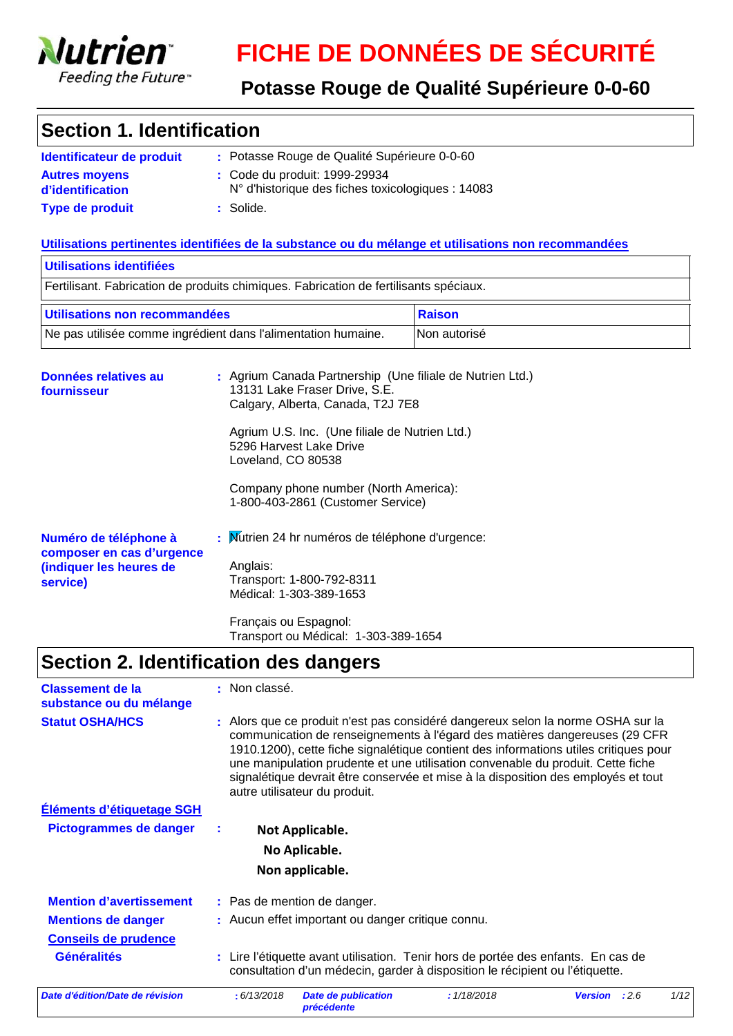

**service)**

# **FICHE DE DONNÉES DE SÉCURITÉ**

## **Potasse Rouge de Qualité Supérieure 0-0-60**

## **Section 1. Identification**

| Identificateur de produit                | : Potasse Rouge de Qualité Supérieure 0-0-60                                       |
|------------------------------------------|------------------------------------------------------------------------------------|
| <b>Autres moyens</b><br>d'identification | : Code du produit: 1999-29934<br>N° d'historique des fiches toxicologiques : 14083 |
| <b>Type de produit</b>                   | : Solide.                                                                          |

### **Utilisations pertinentes identifiées de la substance ou du mélange et utilisations non recommandées**

| Utilisations identifiées                                                                  |                                                                                                                                                                                                                                                                                                                  |               |  |
|-------------------------------------------------------------------------------------------|------------------------------------------------------------------------------------------------------------------------------------------------------------------------------------------------------------------------------------------------------------------------------------------------------------------|---------------|--|
|                                                                                           | Fertilisant. Fabrication de produits chimiques. Fabrication de fertilisants spéciaux.                                                                                                                                                                                                                            |               |  |
| Utilisations non recommandées                                                             |                                                                                                                                                                                                                                                                                                                  | <b>Raison</b> |  |
| Ne pas utilisée comme ingrédient dans l'alimentation humaine.                             |                                                                                                                                                                                                                                                                                                                  | Non autorisé  |  |
| Données relatives au<br>fournisseur                                                       | : Agrium Canada Partnership (Une filiale de Nutrien Ltd.)<br>13131 Lake Fraser Drive, S.E.<br>Calgary, Alberta, Canada, T2J 7E8<br>Agrium U.S. Inc. (Une filiale de Nutrien Ltd.)<br>5296 Harvest Lake Drive<br>Loveland, CO 80538<br>Company phone number (North America):<br>1-800-403-2861 (Customer Service) |               |  |
| Numéro de téléphone à<br>composer en cas d'urgence<br>(indiquer les heures de<br>service) | : Mutrien 24 hr numéros de téléphone d'urgence:<br>Anglais:<br>Transport: 1-800-792-8311                                                                                                                                                                                                                         |               |  |

Français ou Espagnol: Transport ou Médical: 1-303-389-1654

Médical: 1-303-389-1653

## **Section 2. Identification des dangers**

| <b>Classement de la</b><br>substance ou du mélange | : Non classé.                                                                                                                                                                                                                                                                                                                                                                                                                                                  |             |                |      |      |
|----------------------------------------------------|----------------------------------------------------------------------------------------------------------------------------------------------------------------------------------------------------------------------------------------------------------------------------------------------------------------------------------------------------------------------------------------------------------------------------------------------------------------|-------------|----------------|------|------|
| <b>Statut OSHA/HCS</b>                             | : Alors que ce produit n'est pas considéré dangereux selon la norme OSHA sur la<br>communication de renseignements à l'égard des matières dangereuses (29 CFR<br>1910.1200), cette fiche signalétique contient des informations utiles critiques pour<br>une manipulation prudente et une utilisation convenable du produit. Cette fiche<br>signalétique devrait être conservée et mise à la disposition des employés et tout<br>autre utilisateur du produit. |             |                |      |      |
| Éléments d'étiquetage SGH                          |                                                                                                                                                                                                                                                                                                                                                                                                                                                                |             |                |      |      |
| <b>Pictogrammes de danger</b>                      | Not Applicable.                                                                                                                                                                                                                                                                                                                                                                                                                                                |             |                |      |      |
|                                                    | No Aplicable.                                                                                                                                                                                                                                                                                                                                                                                                                                                  |             |                |      |      |
|                                                    | Non applicable.                                                                                                                                                                                                                                                                                                                                                                                                                                                |             |                |      |      |
| <b>Mention d'avertissement</b>                     | : Pas de mention de danger.                                                                                                                                                                                                                                                                                                                                                                                                                                    |             |                |      |      |
| <b>Mentions de danger</b>                          | : Aucun effet important ou danger critique connu.                                                                                                                                                                                                                                                                                                                                                                                                              |             |                |      |      |
| <b>Conseils de prudence</b>                        |                                                                                                                                                                                                                                                                                                                                                                                                                                                                |             |                |      |      |
| <b>Généralités</b>                                 | : Lire l'étiquette avant utilisation. Tenir hors de portée des enfants. En cas de<br>consultation d'un médecin, garder à disposition le récipient ou l'étiquette.                                                                                                                                                                                                                                                                                              |             |                |      |      |
| Date d'édition/Date de révision                    | : 6/13/2018<br><b>Date de publication</b><br><b>précédente</b>                                                                                                                                                                                                                                                                                                                                                                                                 | : 1/18/2018 | <b>Version</b> | :2.6 | 1/12 |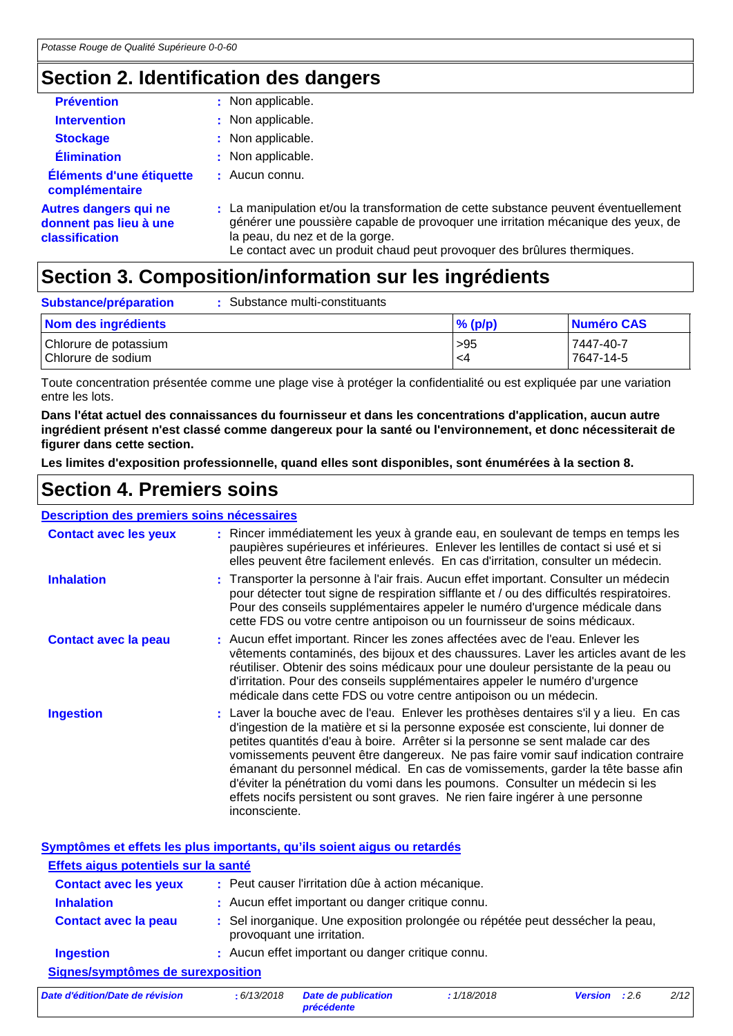## **Section 2. Identification des dangers**

| <b>Prévention</b>                                                        | : Non applicable.                                                                                                                                                                                                                                                                      |
|--------------------------------------------------------------------------|----------------------------------------------------------------------------------------------------------------------------------------------------------------------------------------------------------------------------------------------------------------------------------------|
| <b>Intervention</b>                                                      | : Non applicable.                                                                                                                                                                                                                                                                      |
| <b>Stockage</b>                                                          | : Non applicable.                                                                                                                                                                                                                                                                      |
| <b>Élimination</b>                                                       | : Non applicable.                                                                                                                                                                                                                                                                      |
| Éléments d'une étiquette<br>complémentaire                               | $:$ Aucun connu.                                                                                                                                                                                                                                                                       |
| <b>Autres dangers qui ne</b><br>donnent pas lieu à une<br>classification | : La manipulation et/ou la transformation de cette substance peuvent éventuellement<br>générer une poussière capable de provoquer une irritation mécanique des yeux, de<br>la peau, du nez et de la gorge.<br>Le contact avec un produit chaud peut provoquer des brûlures thermiques. |

## **Section 3. Composition/information sur les ingrédients**

| Substance/préparation                       | Substance multi-constituants |            |                        |
|---------------------------------------------|------------------------------|------------|------------------------|
| Nom des ingrédients                         |                              | $\%$ (p/p) | Numéro CAS             |
| Chlorure de potassium<br>Chlorure de sodium |                              | >95<br>-4  | 7447-40-7<br>7647-14-5 |

Toute concentration présentée comme une plage vise à protéger la confidentialité ou est expliquée par une variation entre les lots.

**Dans l'état actuel des connaissances du fournisseur et dans les concentrations d'application, aucun autre ingrédient présent n'est classé comme dangereux pour la santé ou l'environnement, et donc nécessiterait de figurer dans cette section.**

**Les limites d'exposition professionnelle, quand elles sont disponibles, sont énumérées à la section 8.**

## **Section 4. Premiers soins**

### **Description des premiers soins nécessaires**

| <b>Contact avec les yeux</b> | : Rincer immédiatement les yeux à grande eau, en soulevant de temps en temps les<br>paupières supérieures et inférieures. Enlever les lentilles de contact si usé et si<br>elles peuvent être facilement enlevés. En cas d'irritation, consulter un médecin.                                                                                                                                                                                                                                                                                                                                                             |
|------------------------------|--------------------------------------------------------------------------------------------------------------------------------------------------------------------------------------------------------------------------------------------------------------------------------------------------------------------------------------------------------------------------------------------------------------------------------------------------------------------------------------------------------------------------------------------------------------------------------------------------------------------------|
| <b>Inhalation</b>            | : Transporter la personne à l'air frais. Aucun effet important. Consulter un médecin<br>pour détecter tout signe de respiration sifflante et / ou des difficultés respiratoires.<br>Pour des conseils supplémentaires appeler le numéro d'urgence médicale dans<br>cette FDS ou votre centre antipoison ou un fournisseur de soins médicaux.                                                                                                                                                                                                                                                                             |
| <b>Contact avec la peau</b>  | : Aucun effet important. Rincer les zones affectées avec de l'eau. Enlever les<br>vêtements contaminés, des bijoux et des chaussures. Laver les articles avant de les<br>réutiliser. Obtenir des soins médicaux pour une douleur persistante de la peau ou<br>d'irritation. Pour des conseils supplémentaires appeler le numéro d'urgence<br>médicale dans cette FDS ou votre centre antipoison ou un médecin.                                                                                                                                                                                                           |
| <b>Ingestion</b>             | : Laver la bouche avec de l'eau. Enlever les prothèses dentaires s'il y a lieu. En cas<br>d'ingestion de la matière et si la personne exposée est consciente, lui donner de<br>petites quantités d'eau à boire. Arrêter si la personne se sent malade car des<br>vomissements peuvent être dangereux. Ne pas faire vomir sauf indication contraire<br>émanant du personnel médical. En cas de vomissements, garder la tête basse afin<br>d'éviter la pénétration du vomi dans les poumons. Consulter un médecin si les<br>effets nocifs persistent ou sont graves. Ne rien faire ingérer à une personne<br>inconsciente. |

**Symptômes et effets les plus importants, qu'ils soient aigus ou retardés**

| Effets aigus potentiels sur la santé                                                                                                                                                                                           |                                                                                                                                                          |
|--------------------------------------------------------------------------------------------------------------------------------------------------------------------------------------------------------------------------------|----------------------------------------------------------------------------------------------------------------------------------------------------------|
| <b>Contact avec les yeux</b>                                                                                                                                                                                                   | : Peut causer l'irritation dûe à action mécanique.                                                                                                       |
| <b>Inhalation</b>                                                                                                                                                                                                              | : Aucun effet important ou danger critique connu.                                                                                                        |
| <b>Contact avec la peau</b>                                                                                                                                                                                                    | : Sel inorganique. Une exposition prolongée ou répétée peut dessécher la peau,<br>provoquant une irritation.                                             |
| <b>Ingestion</b>                                                                                                                                                                                                               | : Aucun effet important ou danger critique connu.                                                                                                        |
| Signes/symptômes de surexposition                                                                                                                                                                                              |                                                                                                                                                          |
| the contract of the first contract of the contract of the contract of the contract of the contract of the contract of the contract of the contract of the contract of the contract of the contract of the contract of the cont | 11000010<br>0.400010<br>and the state of the state of the state of the state of the state of the state of the state of the state of the<br>$\mathbf{11}$ |

*Date d'édition/Date de révision* **:** *6/13/2018 Date de publication précédente : 1/18/2018 Version : 2.6 2/12*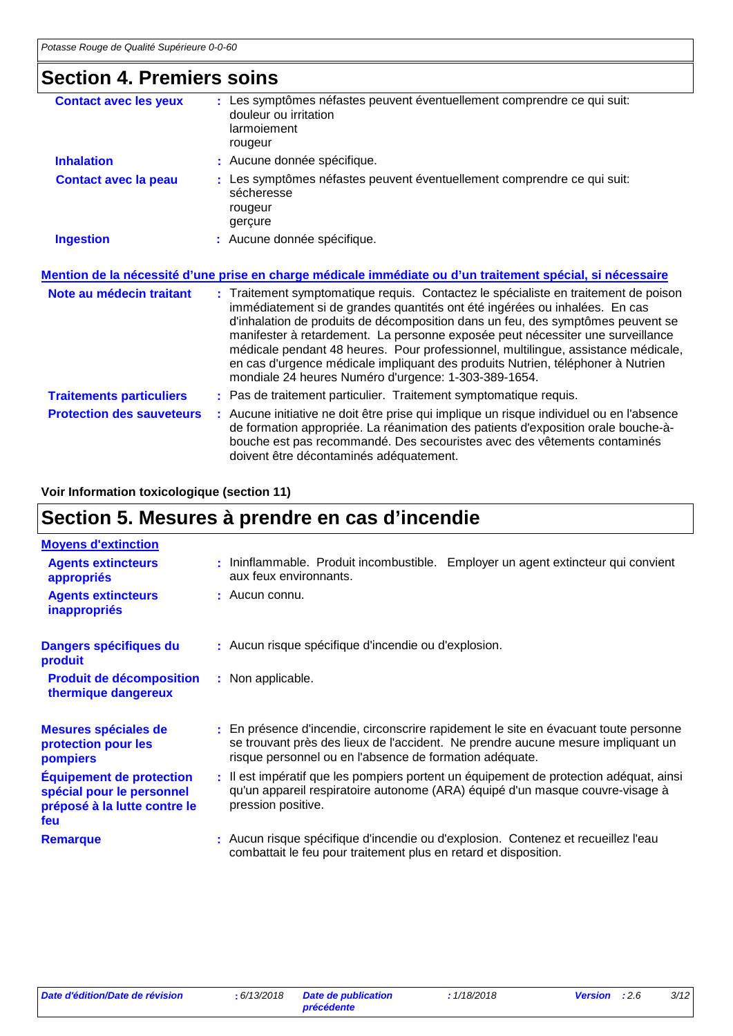## **Section 4. Premiers soins**

| <b>Contact avec les yeux</b>     | Les symptômes néfastes peuvent éventuellement comprendre ce qui suit:<br>douleur ou irritation<br>larmoiement<br>rougeur                                                                                                                                                                                                                                                                                                                                                                                                                                               |
|----------------------------------|------------------------------------------------------------------------------------------------------------------------------------------------------------------------------------------------------------------------------------------------------------------------------------------------------------------------------------------------------------------------------------------------------------------------------------------------------------------------------------------------------------------------------------------------------------------------|
| <b>Inhalation</b>                | : Aucune donnée spécifique.                                                                                                                                                                                                                                                                                                                                                                                                                                                                                                                                            |
| <b>Contact avec la peau</b>      | : Les symptômes néfastes peuvent éventuellement comprendre ce qui suit:<br>sécheresse<br>rougeur<br>gerçure                                                                                                                                                                                                                                                                                                                                                                                                                                                            |
| <b>Ingestion</b>                 | : Aucune donnée spécifique.                                                                                                                                                                                                                                                                                                                                                                                                                                                                                                                                            |
|                                  | Mention de la nécessité d'une prise en charge médicale immédiate ou d'un traitement spécial, si nécessaire                                                                                                                                                                                                                                                                                                                                                                                                                                                             |
| Note au médecin traitant         | : Traitement symptomatique requis. Contactez le spécialiste en traitement de poison<br>immédiatement si de grandes quantités ont été ingérées ou inhalées. En cas<br>d'inhalation de produits de décomposition dans un feu, des symptômes peuvent se<br>manifester à retardement. La personne exposée peut nécessiter une surveillance<br>médicale pendant 48 heures. Pour professionnel, multilingue, assistance médicale,<br>en cas d'urgence médicale impliquant des produits Nutrien, téléphoner à Nutrien<br>mondiale 24 heures Numéro d'urgence: 1-303-389-1654. |
| <b>Traitements particuliers</b>  | : Pas de traitement particulier. Traitement symptomatique requis.                                                                                                                                                                                                                                                                                                                                                                                                                                                                                                      |
| <b>Protection des sauveteurs</b> | : Aucune initiative ne doit être prise qui implique un risque individuel ou en l'absence<br>de formation appropriée. La réanimation des patients d'exposition orale bouche-à-                                                                                                                                                                                                                                                                                                                                                                                          |

doivent être décontaminés adéquatement.

bouche est pas recommandé. Des secouristes avec des vêtements contaminés

### **Voir Information toxicologique (section 11)**

## **Section 5. Mesures à prendre en cas d'incendie**

| <b>Moyens d'extinction</b>                                                                          |                                                                                                                                                                                                                                     |
|-----------------------------------------------------------------------------------------------------|-------------------------------------------------------------------------------------------------------------------------------------------------------------------------------------------------------------------------------------|
| <b>Agents extincteurs</b><br>appropriés                                                             | : Ininflammable. Produit incombustible. Employer un agent extincteur qui convient<br>aux feux environnants.                                                                                                                         |
| <b>Agents extincteurs</b><br><b>inappropriés</b>                                                    | : Aucun connu.                                                                                                                                                                                                                      |
| Dangers spécifiques du<br>produit                                                                   | : Aucun risque spécifique d'incendie ou d'explosion.                                                                                                                                                                                |
| <b>Produit de décomposition</b><br>thermique dangereux                                              | : Non applicable.                                                                                                                                                                                                                   |
| Mesures spéciales de<br>protection pour les<br>pompiers                                             | : En présence d'incendie, circonscrire rapidement le site en évacuant toute personne<br>se trouvant près des lieux de l'accident. Ne prendre aucune mesure impliquant un<br>risque personnel ou en l'absence de formation adéquate. |
| <b>Équipement de protection</b><br>spécial pour le personnel<br>préposé à la lutte contre le<br>feu | : Il est impératif que les pompiers portent un équipement de protection adéquat, ainsi<br>qu'un appareil respiratoire autonome (ARA) équipé d'un masque couvre-visage à<br>pression positive.                                       |
| <b>Remarque</b>                                                                                     | : Aucun risque spécifique d'incendie ou d'explosion. Contenez et recueillez l'eau<br>combattait le feu pour traitement plus en retard et disposition.                                                                               |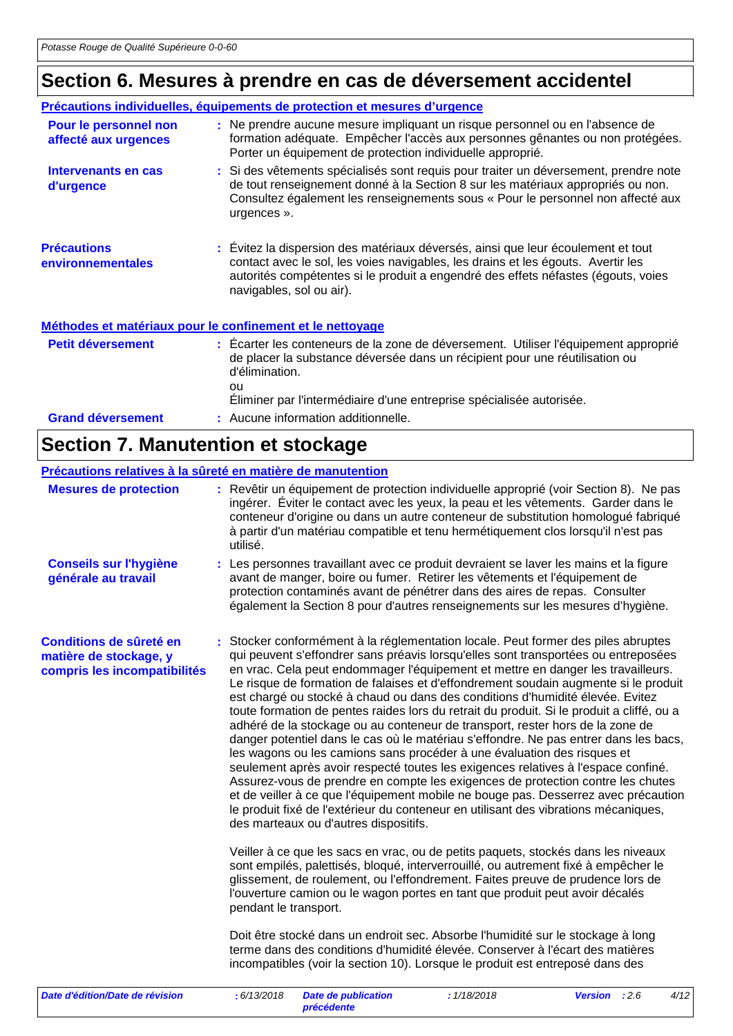## **Section 6. Mesures à prendre en cas de déversement accidentel**

|                                               | Précautions individuelles, équipements de protection et mesures d'urgence                                                                                                                                                                                                             |
|-----------------------------------------------|---------------------------------------------------------------------------------------------------------------------------------------------------------------------------------------------------------------------------------------------------------------------------------------|
| Pour le personnel non<br>affecté aux urgences | : Ne prendre aucune mesure impliquant un risque personnel ou en l'absence de<br>formation adéquate. Empêcher l'accès aux personnes gênantes ou non protégées.<br>Porter un équipement de protection individuelle approprié.                                                           |
| Intervenants en cas<br>d'urgence              | : Si des vêtements spécialisés sont requis pour traiter un déversement, prendre note<br>de tout renseignement donné à la Section 8 sur les matériaux appropriés ou non.<br>Consultez également les renseignements sous « Pour le personnel non affecté aux<br>urgences ».             |
| <b>Précautions</b><br>environnementales       | : Évitez la dispersion des matériaux déversés, ainsi que leur écoulement et tout<br>contact avec le sol, les voies navigables, les drains et les égouts. Avertir les<br>autorités compétentes si le produit a engendré des effets néfastes (égouts, voies<br>navigables, sol ou air). |
|                                               | Méthodes et matériaux pour le confinement et le nettoyage                                                                                                                                                                                                                             |
| <b>Petit déversement</b>                      | : Ecarter les conteneurs de la zone de déversement. Utiliser l'équipement approprié<br>de placer la substance déversée dans un récipient pour une réutilisation ou<br>d'élimination.<br>ou<br>Eliminer par l'intermédiaire d'une entreprise spécialisée autorisée.                    |
| <b>Grand déversement</b>                      | : Aucune information additionnelle.                                                                                                                                                                                                                                                   |

## **Section 7. Manutention et stockage**

| Précautions relatives à la sûreté en matière de manutention                       |                                                                                                                                                                                                                                                                                                                                                                                                                                                                                                                                                                                                                                                                                                                                                                                                                                                                                                                                                                                                                                                                                                                                                                                                                                                                                                                                                                                                                                                                                                                                                                                                                                                                                                                                                                                                               |      |
|-----------------------------------------------------------------------------------|---------------------------------------------------------------------------------------------------------------------------------------------------------------------------------------------------------------------------------------------------------------------------------------------------------------------------------------------------------------------------------------------------------------------------------------------------------------------------------------------------------------------------------------------------------------------------------------------------------------------------------------------------------------------------------------------------------------------------------------------------------------------------------------------------------------------------------------------------------------------------------------------------------------------------------------------------------------------------------------------------------------------------------------------------------------------------------------------------------------------------------------------------------------------------------------------------------------------------------------------------------------------------------------------------------------------------------------------------------------------------------------------------------------------------------------------------------------------------------------------------------------------------------------------------------------------------------------------------------------------------------------------------------------------------------------------------------------------------------------------------------------------------------------------------------------|------|
| <b>Mesures de protection</b>                                                      | : Revêtir un équipement de protection individuelle approprié (voir Section 8). Ne pas<br>ingérer. Éviter le contact avec les yeux, la peau et les vêtements. Garder dans le<br>conteneur d'origine ou dans un autre conteneur de substitution homologué fabriqué<br>à partir d'un matériau compatible et tenu hermétiquement clos lorsqu'il n'est pas<br>utilisé.                                                                                                                                                                                                                                                                                                                                                                                                                                                                                                                                                                                                                                                                                                                                                                                                                                                                                                                                                                                                                                                                                                                                                                                                                                                                                                                                                                                                                                             |      |
| <b>Conseils sur l'hygiène</b><br>générale au travail                              | : Les personnes travaillant avec ce produit devraient se laver les mains et la figure<br>avant de manger, boire ou fumer. Retirer les vêtements et l'équipement de<br>protection contaminés avant de pénétrer dans des aires de repas. Consulter<br>également la Section 8 pour d'autres renseignements sur les mesures d'hygiène.                                                                                                                                                                                                                                                                                                                                                                                                                                                                                                                                                                                                                                                                                                                                                                                                                                                                                                                                                                                                                                                                                                                                                                                                                                                                                                                                                                                                                                                                            |      |
| Conditions de sûreté en<br>matière de stockage, y<br>compris les incompatibilités | : Stocker conformément à la réglementation locale. Peut former des piles abruptes<br>qui peuvent s'effondrer sans préavis lorsqu'elles sont transportées ou entreposées<br>en vrac. Cela peut endommager l'équipement et mettre en danger les travailleurs.<br>Le risque de formation de falaises et d'effondrement soudain augmente si le produit<br>est chargé ou stocké à chaud ou dans des conditions d'humidité élevée. Evitez<br>toute formation de pentes raides lors du retrait du produit. Si le produit a cliffé, ou a<br>adhéré de la stockage ou au conteneur de transport, rester hors de la zone de<br>danger potentiel dans le cas où le matériau s'effondre. Ne pas entrer dans les bacs,<br>les wagons ou les camions sans procéder à une évaluation des risques et<br>seulement après avoir respecté toutes les exigences relatives à l'espace confiné.<br>Assurez-vous de prendre en compte les exigences de protection contre les chutes<br>et de veiller à ce que l'équipement mobile ne bouge pas. Desserrez avec précaution<br>le produit fixé de l'extérieur du conteneur en utilisant des vibrations mécaniques,<br>des marteaux ou d'autres dispositifs.<br>Veiller à ce que les sacs en vrac, ou de petits paquets, stockés dans les niveaux<br>sont empilés, palettisés, bloqué, interverrouillé, ou autrement fixé à empêcher le<br>glissement, de roulement, ou l'effondrement. Faites preuve de prudence lors de<br>l'ouverture camion ou le wagon portes en tant que produit peut avoir décalés<br>pendant le transport.<br>Doit être stocké dans un endroit sec. Absorbe l'humidité sur le stockage à long<br>terme dans des conditions d'humidité élevée. Conserver à l'écart des matières<br>incompatibles (voir la section 10). Lorsque le produit est entreposé dans des |      |
| Date d'édition/Date de révision                                                   | : 6/13/2018<br>: 1/18/2018<br><b>Date de publication</b><br><b>Version</b><br>:2.6                                                                                                                                                                                                                                                                                                                                                                                                                                                                                                                                                                                                                                                                                                                                                                                                                                                                                                                                                                                                                                                                                                                                                                                                                                                                                                                                                                                                                                                                                                                                                                                                                                                                                                                            | 4/12 |

*précédente*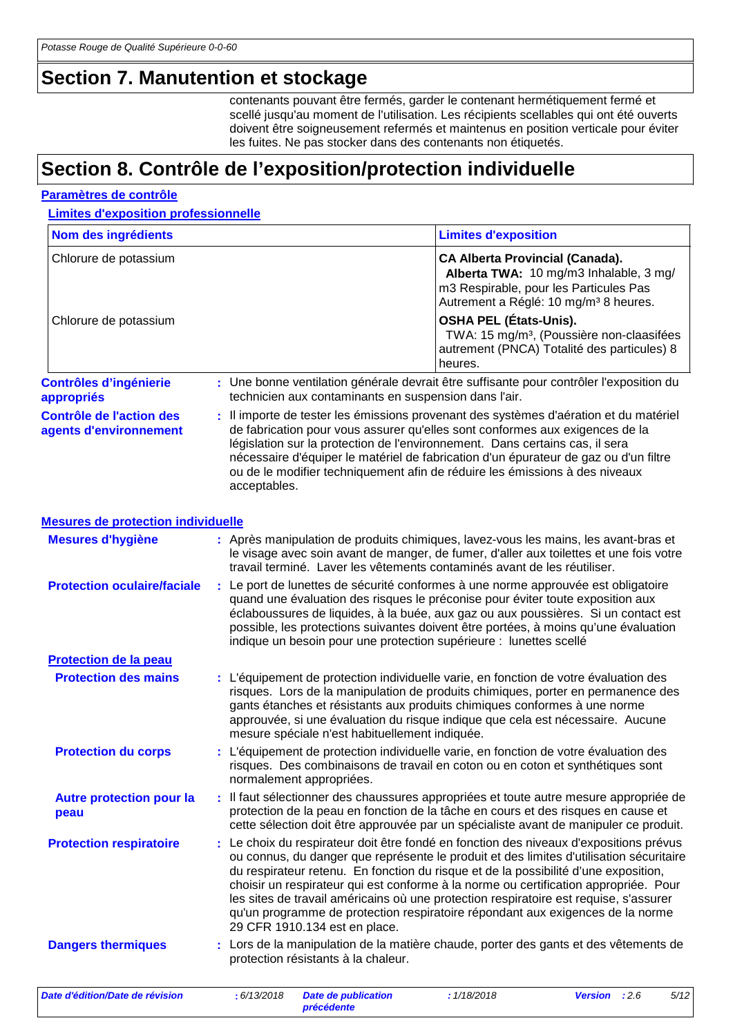## **Section 7. Manutention et stockage**

contenants pouvant être fermés, garder le contenant hermétiquement fermé et scellé jusqu'au moment de l'utilisation. Les récipients scellables qui ont été ouverts doivent être soigneusement refermés et maintenus en position verticale pour éviter les fuites. Ne pas stocker dans des contenants non étiquetés.

## **Section 8. Contrôle de l'exposition/protection individuelle**

### **Paramètres de contrôle**

**Limites d'exposition professionnelle**

| Nom des ingrédients                                       |   |              |                                                       | <b>Limites d'exposition</b>                                                                                                                                                                                                                                                                                                                                                                                                                                                                                                               |                |      |      |
|-----------------------------------------------------------|---|--------------|-------------------------------------------------------|-------------------------------------------------------------------------------------------------------------------------------------------------------------------------------------------------------------------------------------------------------------------------------------------------------------------------------------------------------------------------------------------------------------------------------------------------------------------------------------------------------------------------------------------|----------------|------|------|
| Chlorure de potassium                                     |   |              |                                                       | <b>CA Alberta Provincial (Canada).</b><br>Alberta TWA: 10 mg/m3 Inhalable, 3 mg/<br>m3 Respirable, pour les Particules Pas<br>Autrement a Réglé: 10 mg/m <sup>3</sup> 8 heures.                                                                                                                                                                                                                                                                                                                                                           |                |      |      |
| Chlorure de potassium                                     |   |              |                                                       | <b>OSHA PEL (États-Unis).</b><br>TWA: 15 mg/m <sup>3</sup> , (Poussière non-claasifées<br>autrement (PNCA) Totalité des particules) 8<br>heures.                                                                                                                                                                                                                                                                                                                                                                                          |                |      |      |
| <b>Contrôles d'ingénierie</b><br>appropriés               |   |              | technicien aux contaminants en suspension dans l'air. | : Une bonne ventilation générale devrait être suffisante pour contrôler l'exposition du                                                                                                                                                                                                                                                                                                                                                                                                                                                   |                |      |      |
| <b>Contrôle de l'action des</b><br>agents d'environnement |   | acceptables. |                                                       | : Il importe de tester les émissions provenant des systèmes d'aération et du matériel<br>de fabrication pour vous assurer qu'elles sont conformes aux exigences de la<br>législation sur la protection de l'environnement. Dans certains cas, il sera<br>nécessaire d'équiper le matériel de fabrication d'un épurateur de gaz ou d'un filtre<br>ou de le modifier techniquement afin de réduire les émissions à des niveaux                                                                                                              |                |      |      |
| <b>Mesures de protection individuelle</b>                 |   |              |                                                       |                                                                                                                                                                                                                                                                                                                                                                                                                                                                                                                                           |                |      |      |
| <b>Mesures d'hygiène</b>                                  |   |              |                                                       | : Après manipulation de produits chimiques, lavez-vous les mains, les avant-bras et<br>le visage avec soin avant de manger, de fumer, d'aller aux toilettes et une fois votre<br>travail terminé. Laver les vêtements contaminés avant de les réutiliser.                                                                                                                                                                                                                                                                                 |                |      |      |
| <b>Protection oculaire/faciale</b>                        |   |              |                                                       | : Le port de lunettes de sécurité conformes à une norme approuvée est obligatoire<br>quand une évaluation des risques le préconise pour éviter toute exposition aux<br>éclaboussures de liquides, à la buée, aux gaz ou aux poussières. Si un contact est<br>possible, les protections suivantes doivent être portées, à moins qu'une évaluation<br>indique un besoin pour une protection supérieure : lunettes scellé                                                                                                                    |                |      |      |
| Protection de la peau                                     |   |              |                                                       |                                                                                                                                                                                                                                                                                                                                                                                                                                                                                                                                           |                |      |      |
| <b>Protection des mains</b>                               |   |              | mesure spéciale n'est habituellement indiquée.        | : L'équipement de protection individuelle varie, en fonction de votre évaluation des<br>risques. Lors de la manipulation de produits chimiques, porter en permanence des<br>gants étanches et résistants aux produits chimiques conformes à une norme<br>approuvée, si une évaluation du risque indique que cela est nécessaire. Aucune                                                                                                                                                                                                   |                |      |      |
| <b>Protection du corps</b>                                |   |              | normalement appropriées.                              | : L'équipement de protection individuelle varie, en fonction de votre évaluation des<br>risques. Des combinaisons de travail en coton ou en coton et synthétiques sont                                                                                                                                                                                                                                                                                                                                                                    |                |      |      |
| <b>Autre protection pour la</b><br>peau                   |   |              |                                                       | Il faut sélectionner des chaussures appropriées et toute autre mesure appropriée de<br>protection de la peau en fonction de la tâche en cours et des risques en cause et<br>cette sélection doit être approuvée par un spécialiste avant de manipuler ce produit.                                                                                                                                                                                                                                                                         |                |      |      |
| <b>Protection respiratoire</b>                            | ÷ |              | 29 CFR 1910.134 est en place.                         | Le choix du respirateur doit être fondé en fonction des niveaux d'expositions prévus<br>ou connus, du danger que représente le produit et des limites d'utilisation sécuritaire<br>du respirateur retenu. En fonction du risque et de la possibilité d'une exposition,<br>choisir un respirateur qui est conforme à la norme ou certification appropriée. Pour<br>les sites de travail américains où une protection respiratoire est requise, s'assurer<br>qu'un programme de protection respiratoire répondant aux exigences de la norme |                |      |      |
| <b>Dangers thermiques</b>                                 |   |              | protection résistants à la chaleur.                   | : Lors de la manipulation de la matière chaude, porter des gants et des vêtements de                                                                                                                                                                                                                                                                                                                                                                                                                                                      |                |      |      |
| Date d'édition/Date de révision                           |   | : 6/13/2018  | <b>Date de publication</b>                            | : 1/18/2018                                                                                                                                                                                                                                                                                                                                                                                                                                                                                                                               | <b>Version</b> | :2.6 | 5/12 |

*précédente*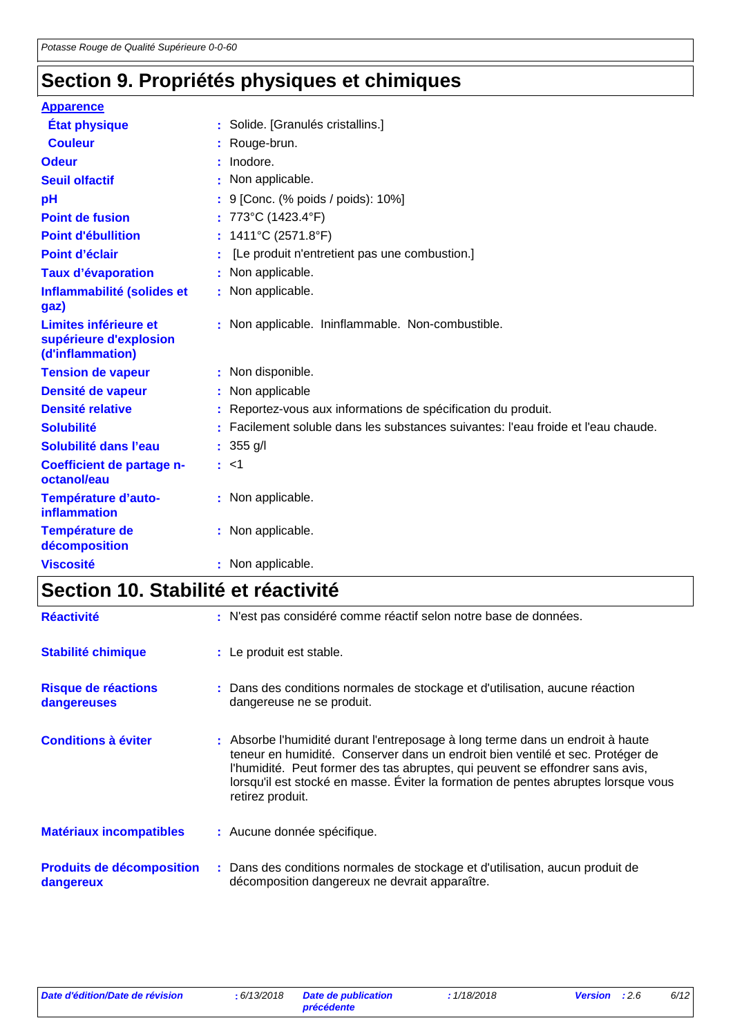## **Section 9. Propriétés physiques et chimiques**

| <b>Apparence</b>                                                    |                                                                                   |
|---------------------------------------------------------------------|-----------------------------------------------------------------------------------|
| <b>État physique</b>                                                | : Solide. [Granulés cristallins.]                                                 |
| <b>Couleur</b>                                                      | : Rouge-brun.                                                                     |
| <b>Odeur</b>                                                        | : Inodore.                                                                        |
| <b>Seuil olfactif</b>                                               | : Non applicable.                                                                 |
| pH                                                                  | : 9 [Conc. (% poids / poids): 10%]                                                |
| <b>Point de fusion</b>                                              | : 773°C (1423.4°F)                                                                |
| <b>Point d'ébullition</b>                                           | : $1411^{\circ}C(2571.8^{\circ}F)$                                                |
| Point d'éclair                                                      | [Le produit n'entretient pas une combustion.]                                     |
| <b>Taux d'évaporation</b>                                           | : Non applicable.                                                                 |
| Inflammabilité (solides et<br>gaz)                                  | : Non applicable.                                                                 |
| Limites inférieure et<br>supérieure d'explosion<br>(d'inflammation) | : Non applicable. Ininflammable. Non-combustible.                                 |
| <b>Tension de vapeur</b>                                            | : Non disponible.                                                                 |
| Densité de vapeur                                                   | : Non applicable                                                                  |
| <b>Densité relative</b>                                             | : Reportez-vous aux informations de spécification du produit.                     |
| <b>Solubilité</b>                                                   | : Facilement soluble dans les substances suivantes: l'eau froide et l'eau chaude. |
| Solubilité dans l'eau                                               | : $355 g/l$                                                                       |
| Coefficient de partage n-<br>octanol/eau                            | : <1                                                                              |
| Température d'auto-<br><b>inflammation</b>                          | : Non applicable.                                                                 |
| Température de<br>décomposition                                     | : Non applicable.                                                                 |
| <b>Viscosité</b>                                                    | : Non applicable.                                                                 |

## **Section 10. Stabilité et réactivité**

| <b>Réactivité</b>                             | : N'est pas considéré comme réactif selon notre base de données.                                                                                                                                                                                                                                                                                            |
|-----------------------------------------------|-------------------------------------------------------------------------------------------------------------------------------------------------------------------------------------------------------------------------------------------------------------------------------------------------------------------------------------------------------------|
| <b>Stabilité chimique</b>                     | : Le produit est stable.                                                                                                                                                                                                                                                                                                                                    |
| Risque de réactions<br>dangereuses            | : Dans des conditions normales de stockage et d'utilisation, aucune réaction<br>dangereuse ne se produit.                                                                                                                                                                                                                                                   |
| <b>Conditions à éviter</b>                    | : Absorbe l'humidité durant l'entreposage à long terme dans un endroit à haute<br>teneur en humidité. Conserver dans un endroit bien ventilé et sec. Protéger de<br>l'humidité. Peut former des tas abruptes, qui peuvent se effondrer sans avis,<br>lorsqu'il est stocké en masse. Éviter la formation de pentes abruptes lorsque vous<br>retirez produit. |
| <b>Matériaux incompatibles</b>                | : Aucune donnée spécifique.                                                                                                                                                                                                                                                                                                                                 |
| <b>Produits de décomposition</b><br>dangereux | : Dans des conditions normales de stockage et d'utilisation, aucun produit de<br>décomposition dangereux ne devrait apparaître.                                                                                                                                                                                                                             |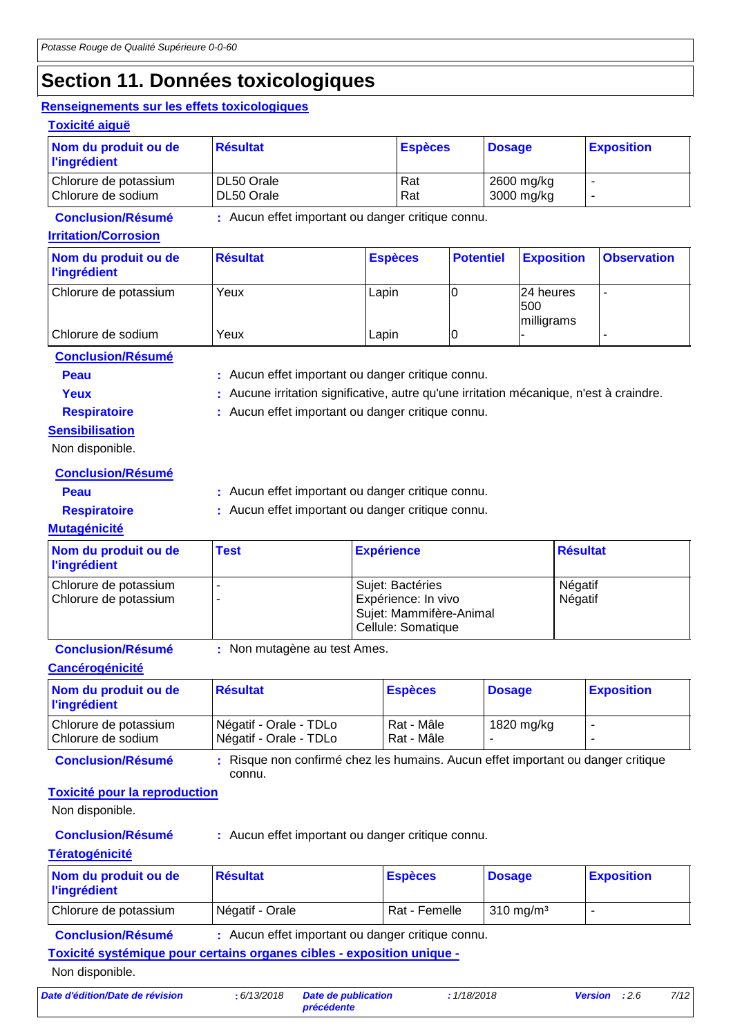## **Section 11. Données toxicologiques**

### **Renseignements sur les effets toxicologiques**

| Renseignements sur les effets toxicologiques<br><b>Toxicité aiguë</b> |                                                   |                |                |                  |               |                                |                    |
|-----------------------------------------------------------------------|---------------------------------------------------|----------------|----------------|------------------|---------------|--------------------------------|--------------------|
| Nom du produit ou de<br><b>l'ingrédient</b>                           | <b>Résultat</b>                                   |                | <b>Espèces</b> |                  | <b>Dosage</b> |                                | <b>Exposition</b>  |
| Chlorure de potassium<br>Chlorure de sodium                           | DL50 Orale<br>DL50 Orale                          |                | Rat<br>Rat     |                  |               | 2600 mg/kg<br>3000 mg/kg       |                    |
| <b>Conclusion/Résumé</b><br><b>Irritation/Corrosion</b>               | : Aucun effet important ou danger critique connu. |                |                |                  |               |                                |                    |
| Nom du produit ou de<br><b>l'ingrédient</b>                           | <b>Résultat</b>                                   | <b>Espèces</b> |                | <b>Potentiel</b> |               | <b>Exposition</b>              | <b>Observation</b> |
| Chlorure de potassium                                                 | Yeux                                              | Lapin          |                | 0                |               | 24 heures<br>500<br>milligrams | ۰                  |

Chlorure de sodium Yeux Lapin 0 - -

**Conclusion/Résumé**

- **Peau** : Aucun effet important ou danger critique connu.
- 

Yeux **:** Aucune irritation significative, autre qu'une irritation mécanique, n'est à craindre.

**Sensibilisation**

**Respiratoire :** Aucun effet important ou danger critique connu.

Non disponible.

**Conclusion/Résumé**

**Peau** : Aucun effet important ou danger critique connu.

**Respiratoire :** Aucun effet important ou danger critique connu.

### **Mutagénicité**

| Nom du produit ou de<br><b>l'ingrédient</b>    | <b>Test</b> | <b>Expérience</b>                                                                        | <b>Résultat</b>    |
|------------------------------------------------|-------------|------------------------------------------------------------------------------------------|--------------------|
| Chlorure de potassium<br>Chlorure de potassium |             | Sujet: Bactéries<br>Expérience: In vivo<br>Sujet: Mammifère-Animal<br>Cellule: Somatique | Négatif<br>Négatif |

**Conclusion/Résumé :** Non mutagène au test Ames.

### **Cancérogénicité**

| Nom du produit ou de<br><b>l'ingrédient</b> | <b>Résultat</b>                                  | <b>Espèces</b>           | <b>Dosage</b> | <b>Exposition</b> |
|---------------------------------------------|--------------------------------------------------|--------------------------|---------------|-------------------|
| Chlorure de potassium<br>Chlorure de sodium | Négatif - Orale - TDLo<br>Négatif - Orale - TDLo | Rat - Mâle<br>Rat - Mâle | 1820 mg/kg    |                   |

**Conclusion/Résumé :** Risque non confirmé chez les humains. Aucun effet important ou danger critique connu.

### **Toxicité pour la reproduction**

Non disponible.

**Conclusion/Résumé :** Aucun effet important ou danger critique connu.

### **Tératogénicité**

| Nom du produit ou de<br><b>l'ingrédient</b> | <b>Résultat</b>              | <b>Espèces</b> | <b>Dosage</b>        | <b>Exposition</b> |
|---------------------------------------------|------------------------------|----------------|----------------------|-------------------|
| Chlorure de potassium                       | <sup>I</sup> Négatif - Orale | Rat - Femelle  | $310 \text{ ma/m}^3$ |                   |

**Conclusion/Résumé :** Aucun effet important ou danger critique connu.

**Toxicité systémique pour certains organes cibles - exposition unique -**

Non disponible.

*Date d'édition/Date de révision* **:** *6/13/2018 Date de publication*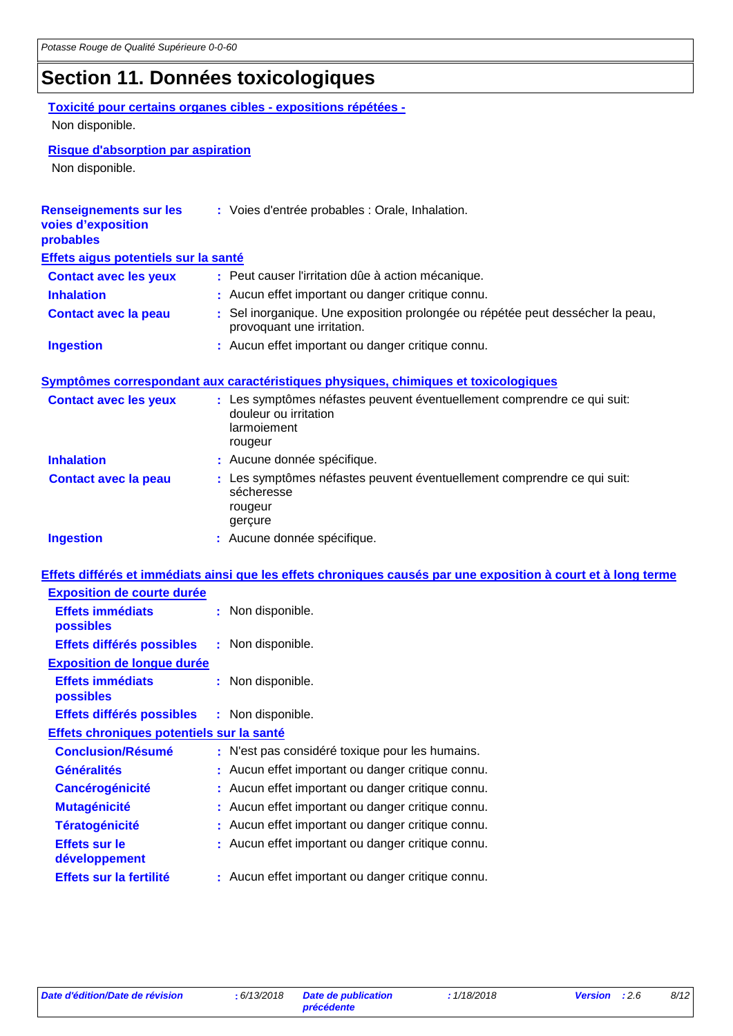## **Section 11. Données toxicologiques**

### **Toxicité pour certains organes cibles - expositions répétées -** Non disponible.

### **Risque d'absorption par aspiration**

Non disponible.

| <b>Renseignements sur les</b><br>voies d'exposition<br>probables | : Voies d'entrée probables : Orale, Inhalation.                                                                            |
|------------------------------------------------------------------|----------------------------------------------------------------------------------------------------------------------------|
| Effets aigus potentiels sur la santé                             |                                                                                                                            |
| <b>Contact avec les yeux</b>                                     | : Peut causer l'irritation dûe à action mécanique.                                                                         |
| <b>Inhalation</b>                                                | : Aucun effet important ou danger critique connu.                                                                          |
| <b>Contact avec la peau</b>                                      | : Sel inorganique. Une exposition prolongée ou répétée peut dessécher la peau,<br>provoquant une irritation.               |
| <b>Ingestion</b>                                                 | : Aucun effet important ou danger critique connu.                                                                          |
|                                                                  |                                                                                                                            |
|                                                                  | Symptômes correspondant aux caractéristiques physiques, chimiques et toxicologiques                                        |
| <b>Contact avec les yeux</b>                                     | : Les symptômes néfastes peuvent éventuellement comprendre ce qui suit:<br>douleur ou irritation<br>larmoiement<br>rougeur |
| <b>Inhalation</b>                                                | : Aucune donnée spécifique.                                                                                                |
| <b>Contact avec la peau</b>                                      | : Les symptômes néfastes peuvent éventuellement comprendre ce qui suit:<br>sécheresse<br>rougeur<br>gerçure                |
| <b>Ingestion</b>                                                 | : Aucune donnée spécifique.                                                                                                |
|                                                                  | Effets différés et immédiats ainsi que les effets chroniques causés par une exposition à court et à long terme             |
| <b>Exposition de courte durée</b>                                |                                                                                                                            |
| <b>Effets immédiats</b><br>possibles                             | : Non disponible.                                                                                                          |
| Effets différés possibles                                        | : Non disponible.                                                                                                          |
| <b>Exposition de longue durée</b>                                |                                                                                                                            |
| <b>Effets immédiats</b><br>possibles                             | : Non disponible.                                                                                                          |
| Effets différés possibles                                        | : Non disponible.                                                                                                          |
| Effets chroniques potentiels sur la santé                        |                                                                                                                            |
| <b>Conclusion/Résumé</b>                                         | : N'est pas considéré toxique pour les humains.                                                                            |
| <b>Généralités</b>                                               | : Aucun effet important ou danger critique connu.                                                                          |
| <b>Cancérogénicité</b>                                           | Aucun effet important ou danger critique connu.                                                                            |
| <b>Mutagénicité</b>                                              | : Aucun effet important ou danger critique connu.                                                                          |
| <b>Tératogénicité</b>                                            | Aucun effet important ou danger critique connu.                                                                            |
| <b>Effets sur le</b><br>développement                            | Aucun effet important ou danger critique connu.                                                                            |
| Effets sur la fertilité                                          | : Aucun effet important ou danger critique connu.                                                                          |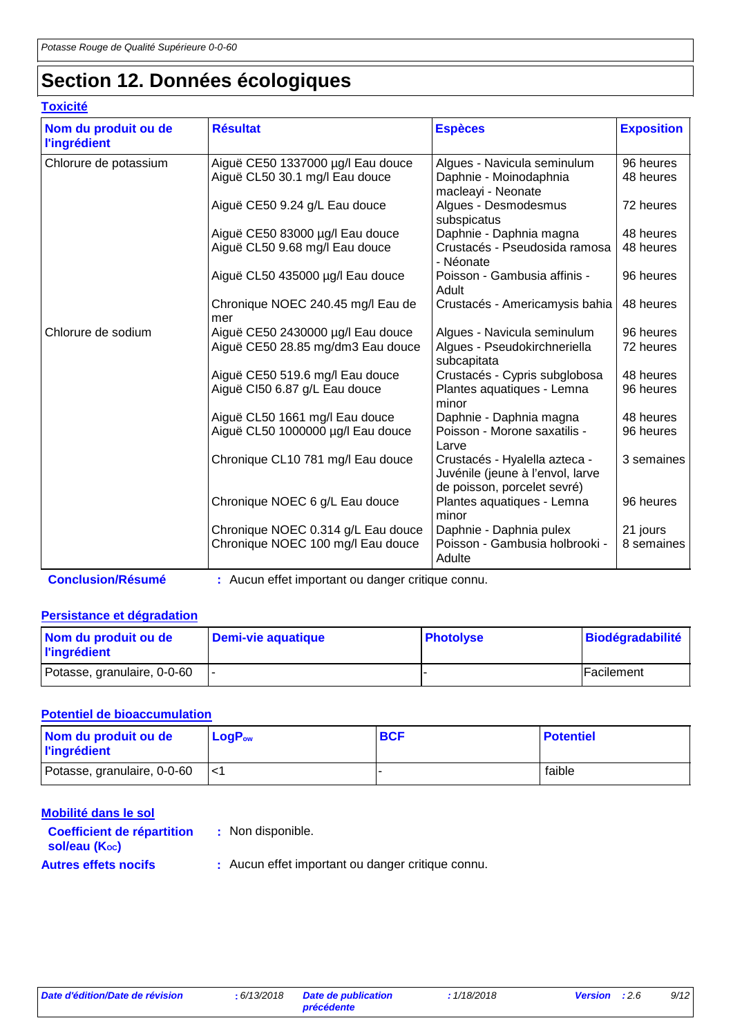## **Section 12. Données écologiques**

### **Toxicité**

| Nom du produit ou de<br><b>l'ingrédient</b> | <b>Résultat</b>                                                         | <b>Espèces</b>                                                                                   | <b>Exposition</b>      |
|---------------------------------------------|-------------------------------------------------------------------------|--------------------------------------------------------------------------------------------------|------------------------|
| Chlorure de potassium                       | Aiguë CE50 1337000 µg/l Eau douce<br>Aiguë CL50 30.1 mg/l Eau douce     | Algues - Navicula seminulum<br>Daphnie - Moinodaphnia<br>macleayi - Neonate                      | 96 heures<br>48 heures |
|                                             | Aiguë CE50 9.24 g/L Eau douce                                           | Algues - Desmodesmus<br>subspicatus                                                              | 72 heures              |
|                                             | Aiguë CE50 83000 µg/l Eau douce<br>Aiguë CL50 9.68 mg/l Eau douce       | Daphnie - Daphnia magna<br>Crustacés - Pseudosida ramosa<br>- Néonate                            | 48 heures<br>48 heures |
|                                             | Aiguë CL50 435000 µg/l Eau douce                                        | Poisson - Gambusia affinis -<br>Adult                                                            | 96 heures              |
|                                             | Chronique NOEC 240.45 mg/l Eau de<br>mer                                | Crustacés - Americamysis bahia                                                                   | 48 heures              |
| Chlorure de sodium                          | Aiguë CE50 2430000 µg/l Eau douce<br>Aiguë CE50 28.85 mg/dm3 Eau douce  | Algues - Navicula seminulum<br>Algues - Pseudokirchneriella<br>subcapitata                       | 96 heures<br>72 heures |
|                                             | Aiguë CE50 519.6 mg/l Eau douce<br>Aiguë CI50 6.87 g/L Eau douce        | Crustacés - Cypris subglobosa<br>Plantes aquatiques - Lemna<br>minor                             | 48 heures<br>96 heures |
|                                             | Aiguë CL50 1661 mg/l Eau douce<br>Aiguë CL50 1000000 µg/l Eau douce     | Daphnie - Daphnia magna<br>Poisson - Morone saxatilis -<br>Larve                                 | 48 heures<br>96 heures |
|                                             | Chronique CL10 781 mg/l Eau douce                                       | Crustacés - Hyalella azteca -<br>Juvénile (jeune à l'envol, larve<br>de poisson, porcelet sevré) | 3 semaines             |
|                                             | Chronique NOEC 6 g/L Eau douce                                          | Plantes aquatiques - Lemna<br>minor                                                              | 96 heures              |
|                                             | Chronique NOEC 0.314 g/L Eau douce<br>Chronique NOEC 100 mg/l Eau douce | Daphnie - Daphnia pulex<br>Poisson - Gambusia holbrooki -<br>Adulte                              | 21 jours<br>8 semaines |

**Conclusion/Résumé :** Aucun effet important ou danger critique connu.

### **Persistance et dégradation**

| Nom du produit ou de<br><b>l'ingrédient</b> | Demi-vie aquatique | <b>Photolyse</b> | <b>Biodégradabilité</b> |
|---------------------------------------------|--------------------|------------------|-------------------------|
| Potasse, granulaire, 0-0-60                 |                    |                  | Facilement              |

### **Potentiel de bioaccumulation**

| Nom du produit ou de<br><b>l'ingrédient</b> | $\mathsf{LogP}_\mathsf{ow}$ | <b>BCF</b> | <b>Potentiel</b> |
|---------------------------------------------|-----------------------------|------------|------------------|
| Potasse, granulaire, 0-0-60                 |                             |            | faible           |

| Mobilité dans le sol                               |                                                   |
|----------------------------------------------------|---------------------------------------------------|
| <b>Coefficient de répartition</b><br>sol/eau (Koc) | : Non disponible.                                 |
| <b>Autres effets nocifs</b>                        | : Aucun effet important ou danger critique connu. |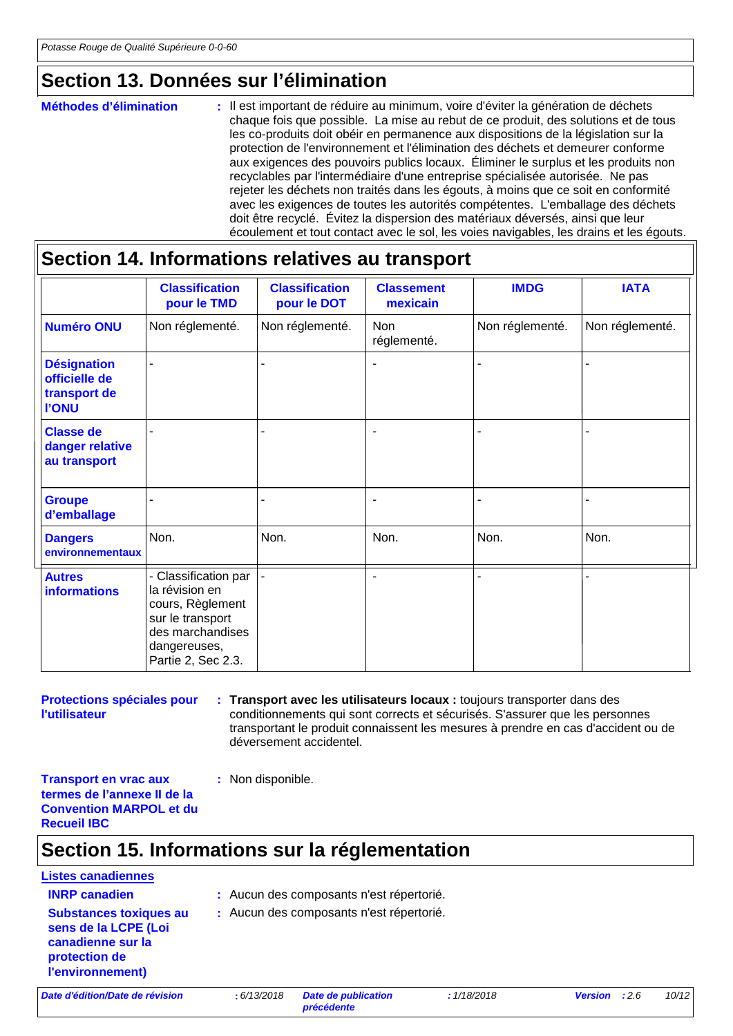## **Section 13. Données sur l'élimination**

#### : Il est important de réduire au minimum, voire d'éviter la génération de déchets chaque fois que possible. La mise au rebut de ce produit, des solutions et de tous les co-produits doit obéir en permanence aux dispositions de la législation sur la protection de l'environnement et l'élimination des déchets et demeurer conforme aux exigences des pouvoirs publics locaux. Éliminer le surplus et les produits non recyclables par l'intermédiaire d'une entreprise spécialisée autorisée. Ne pas rejeter les déchets non traités dans les égouts, à moins que ce soit en conformité avec les exigences de toutes les autorités compétentes. L'emballage des déchets doit être recyclé. Évitez la dispersion des matériaux déversés, ainsi que leur écoulement et tout contact avec le sol, les voies navigables, les drains et les égouts. **Méthodes d'élimination :**

## **Section 14. Informations relatives au transport**

|                                                                     | <b>Classification</b><br>pour le TMD                                                                                                     | <b>Classification</b><br>pour le DOT | <b>Classement</b><br>mexicain | <b>IMDG</b>     | <b>IATA</b>     |
|---------------------------------------------------------------------|------------------------------------------------------------------------------------------------------------------------------------------|--------------------------------------|-------------------------------|-----------------|-----------------|
| <b>Numéro ONU</b>                                                   | Non réglementé.                                                                                                                          | Non réglementé.                      | <b>Non</b><br>réglementé.     | Non réglementé. | Non réglementé. |
| <b>Désignation</b><br>officielle de<br>transport de<br><b>I'ONU</b> |                                                                                                                                          | ٠                                    | $\overline{a}$                |                 |                 |
| <b>Classe de</b><br>danger relative<br>au transport                 |                                                                                                                                          |                                      |                               |                 |                 |
| <b>Groupe</b><br>d'emballage                                        |                                                                                                                                          |                                      | $\blacksquare$                |                 |                 |
| <b>Dangers</b><br>environnementaux                                  | Non.                                                                                                                                     | Non.                                 | Non.                          | Non.            | Non.            |
| <b>Autres</b><br><b>informations</b>                                | - Classification par<br>la révision en<br>cours, Règlement<br>sur le transport<br>des marchandises<br>dangereuses,<br>Partie 2, Sec 2.3. |                                      | $\blacksquare$                |                 |                 |

**Protections spéciales pour l'utilisateur**

**Transport avec les utilisateurs locaux :** toujours transporter dans des **:** conditionnements qui sont corrects et sécurisés. S'assurer que les personnes transportant le produit connaissent les mesures à prendre en cas d'accident ou de déversement accidentel.

**Transport en vrac aux termes de l'annexe II de la Convention MARPOL et du Recueil IBC**

## **Section 15. Informations sur la réglementation**

**:** Non disponible.

## **Listes canadiennes Substances toxiques au**

- **INRP canadien :** Aucun des composants n'est répertorié.
- **sens de la LCPE (Loi canadienne sur la protection de :** Aucun des composants n'est répertorié.

*Date d'édition/Date de révision* **:** *6/13/2018 Date de publication* 

**l'environnement)**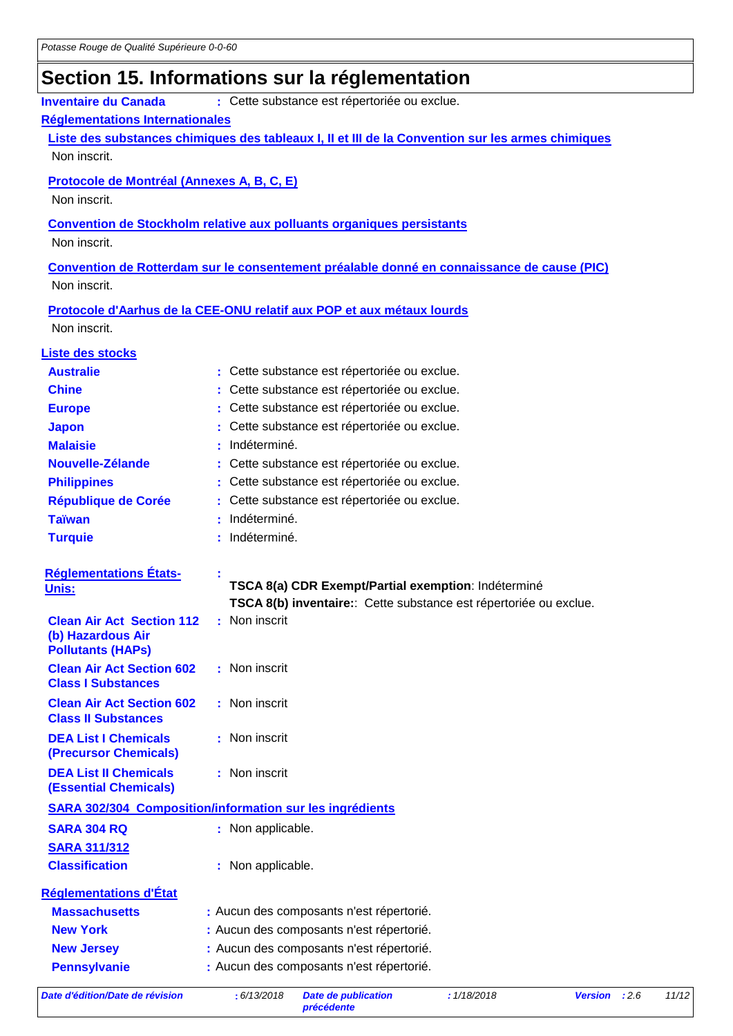# **Section 15. Informations sur la réglementation**

| <b>Inventaire du Canada</b>                                  | : Cette substance est répertoriée ou exclue.                                                      |
|--------------------------------------------------------------|---------------------------------------------------------------------------------------------------|
| Réglementations Internationales                              |                                                                                                   |
|                                                              | Liste des substances chimiques des tableaux I, II et III de la Convention sur les armes chimiques |
| Non inscrit.                                                 |                                                                                                   |
| Protocole de Montréal (Annexes A, B, C, E)                   |                                                                                                   |
| Non inscrit.                                                 |                                                                                                   |
|                                                              | <b>Convention de Stockholm relative aux polluants organiques persistants</b>                      |
| Non inscrit.                                                 |                                                                                                   |
|                                                              |                                                                                                   |
| Non inscrit.                                                 | Convention de Rotterdam sur le consentement préalable donné en connaissance de cause (PIC)        |
|                                                              |                                                                                                   |
|                                                              | Protocole d'Aarhus de la CEE-ONU relatif aux POP et aux métaux lourds                             |
| Non inscrit.                                                 |                                                                                                   |
| <b>Liste des stocks</b>                                      |                                                                                                   |
| <b>Australie</b>                                             | Cette substance est répertoriée ou exclue.                                                        |
| <b>Chine</b>                                                 | Cette substance est répertoriée ou exclue.                                                        |
| <b>Europe</b>                                                | Cette substance est répertoriée ou exclue.                                                        |
| <b>Japon</b>                                                 | Cette substance est répertoriée ou exclue.                                                        |
| <b>Malaisie</b>                                              | Indéterminé.                                                                                      |
| Nouvelle-Zélande                                             | Cette substance est répertoriée ou exclue.                                                        |
| <b>Philippines</b>                                           | Cette substance est répertoriée ou exclue.                                                        |
| <b>République de Corée</b>                                   | Cette substance est répertoriée ou exclue.                                                        |
| <b>Taïwan</b>                                                | Indéterminé.                                                                                      |
| <b>Turquie</b>                                               | Indéterminé.                                                                                      |
|                                                              |                                                                                                   |
| <b>Réglementations États-</b><br><u>Unis:</u>                | TSCA 8(a) CDR Exempt/Partial exemption: Indéterminé                                               |
|                                                              | TSCA 8(b) inventaire: Cette substance est répertoriée ou exclue.                                  |
| <b>Clean Air Act Section 112</b>                             | : Non inscrit                                                                                     |
| (b) Hazardous Air                                            |                                                                                                   |
| <b>Pollutants (HAPs)</b><br><b>Clean Air Act Section 602</b> | : Non inscrit                                                                                     |
| <b>Class I Substances</b>                                    |                                                                                                   |
| <b>Clean Air Act Section 602</b>                             | : Non inscrit                                                                                     |
| <b>Class II Substances</b>                                   |                                                                                                   |
| <b>DEA List I Chemicals</b>                                  | : Non inscrit                                                                                     |
| (Precursor Chemicals)                                        |                                                                                                   |
| <b>DEA List II Chemicals</b>                                 | : Non inscrit                                                                                     |
| <b>(Essential Chemicals)</b>                                 |                                                                                                   |
|                                                              | <b>SARA 302/304 Composition/information sur les ingrédients</b>                                   |
| <b>SARA 304 RQ</b>                                           | : Non applicable.                                                                                 |
| <b>SARA 311/312</b>                                          |                                                                                                   |
| <b>Classification</b>                                        | : Non applicable.                                                                                 |
| <b>Réglementations d'État</b>                                |                                                                                                   |
| <b>Massachusetts</b>                                         | : Aucun des composants n'est répertorié.                                                          |
| <b>New York</b>                                              | : Aucun des composants n'est répertorié.                                                          |
| <b>New Jersey</b>                                            | : Aucun des composants n'est répertorié.                                                          |
| <b>Pennsylvanie</b>                                          | : Aucun des composants n'est répertorié.                                                          |
|                                                              |                                                                                                   |

*Date d'édition/Date de révision* **:** *6/13/2018 Date de publication*